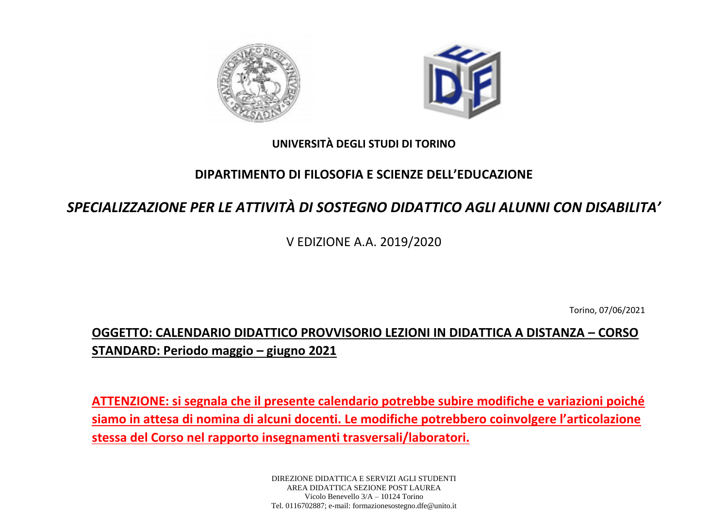



## **UNIVERSITÀ DEGLI STUDI DI TORINO**

## **DIPARTIMENTO DI FILOSOFIA E SCIENZE DELL'EDUCAZIONE**

## *SPECIALIZZAZIONE PER LE ATTIVITÀ DI SOSTEGNO DIDATTICO AGLI ALUNNI CON DISABILITA'*

V EDIZIONE A.A. 2019/2020

Torino, 07/06/2021

**OGGETTO: CALENDARIO DIDATTICO PROVVISORIO LEZIONI IN DIDATTICA A DISTANZA – CORSO STANDARD: Periodo maggio – giugno 2021**

**ATTENZIONE: si segnala che il presente calendario potrebbe subire modifiche e variazioni poiché siamo in attesa di nomina di alcuni docenti. Le modifiche potrebbero coinvolgere l'articolazione stessa del Corso nel rapporto insegnamenti trasversali/laboratori.**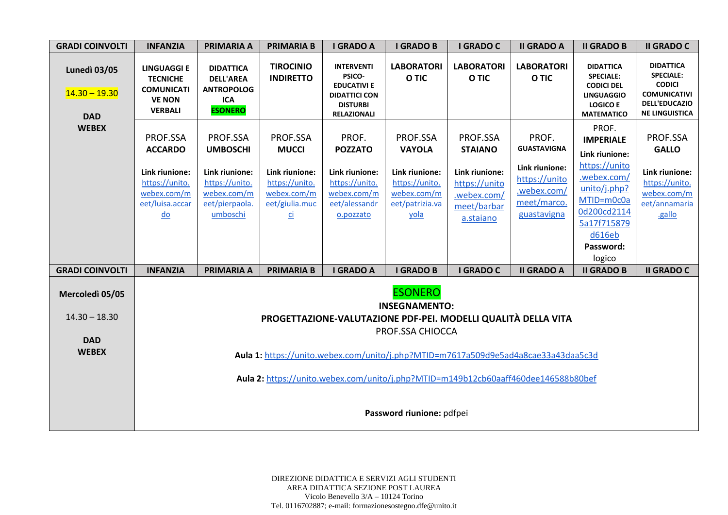| <b>GRADI COINVOLTI</b>                               | <b>INFANZIA</b>                                                                                                      | <b>PRIMARIA A</b>                                                                                            | <b>PRIMARIA B</b>                                                                                                | <b>I GRADO A</b>                                                                                                   | <b>I GRADO B</b>                                                                                        | <b>I GRADO C</b>                                                                                         | <b>II GRADO A</b>                                                                                           | <b>II GRADO B</b>                                                                                                                                                        | <b>II GRADO C</b>                                                                                                             |  |  |
|------------------------------------------------------|----------------------------------------------------------------------------------------------------------------------|--------------------------------------------------------------------------------------------------------------|------------------------------------------------------------------------------------------------------------------|--------------------------------------------------------------------------------------------------------------------|---------------------------------------------------------------------------------------------------------|----------------------------------------------------------------------------------------------------------|-------------------------------------------------------------------------------------------------------------|--------------------------------------------------------------------------------------------------------------------------------------------------------------------------|-------------------------------------------------------------------------------------------------------------------------------|--|--|
| <b>Lunedì 03/05</b><br>$14.30 - 19.30$<br><b>DAD</b> | <b>LINGUAGGI E</b><br><b>TECNICHE</b><br><b>COMUNICATI</b><br><b>VE NON</b><br><b>VERBALI</b>                        | <b>DIDATTICA</b><br><b>DELL'AREA</b><br><b>ANTROPOLOG</b><br>ICA<br><b>ESONERO</b>                           | <b>TIROCINIO</b><br><b>INDIRETTO</b>                                                                             | <b>INTERVENTI</b><br>PSICO-<br><b>EDUCATIVI E</b><br><b>DIDATTICI CON</b><br><b>DISTURBI</b><br><b>RELAZIONALI</b> | <b>LABORATORI</b><br>O TIC                                                                              | <b>LABORATORI</b><br>O TIC                                                                               | <b>LABORATORI</b><br>O TIC                                                                                  | <b>DIDATTICA</b><br><b>SPECIALE:</b><br><b>CODICI DEL</b><br><b>LINGUAGGIO</b><br><b>LOGICO E</b><br><b>MATEMATICO</b>                                                   | <b>DIDATTICA</b><br><b>SPECIALE:</b><br><b>CODICI</b><br><b>COMUNICATIVI</b><br><b>DELL'EDUCAZIO</b><br><b>NE LINGUISTICA</b> |  |  |
| <b>WEBEX</b>                                         | PROF.SSA<br><b>ACCARDO</b><br>Link riunione:<br>https://unito.<br>webex.com/m<br>eet/luisa.accar<br>$\underline{do}$ | PROF.SSA<br><b>UMBOSCHI</b><br>Link riunione:<br>https://unito.<br>webex.com/m<br>eet/pierpaola.<br>umboschi | PROF.SSA<br><b>MUCCI</b><br>Link riunione:<br>https://unito.<br>webex.com/m<br>eet/giulia.muc<br>$\overline{ci}$ | PROF.<br><b>POZZATO</b><br>Link riunione:<br>https://unito.<br>webex.com/m<br>eet/alessandr<br>o.pozzato           | PROF.SSA<br><b>VAYOLA</b><br>Link riunione:<br>https://unito.<br>webex.com/m<br>eet/patrizia.va<br>yola | PROF.SSA<br><b>STAIANO</b><br>Link riunione:<br>https://unito<br>.webex.com/<br>meet/barbar<br>a.staiano | PROF.<br><b>GUASTAVIGNA</b><br>Link riunione:<br>https://unito<br>.webex.com/<br>meet/marco.<br>guastavigna | PROF.<br><b>IMPERIALE</b><br>Link riunione:<br>https://unito<br>.webex.com/<br>unito/j.php?<br>MTID=m0c0a<br>0d200cd2114<br>5a17f715879<br>d616eb<br>Password:<br>logico | PROF.SSA<br><b>GALLO</b><br>Link riunione:<br>https://unito.<br>webex.com/m<br>eet/annamaria<br>.gallo                        |  |  |
| <b>GRADI COINVOLTI</b>                               | <b>INFANZIA</b>                                                                                                      | <b>PRIMARIA A</b>                                                                                            | <b>PRIMARIA B</b>                                                                                                | <b>I GRADO A</b>                                                                                                   | <b>I GRADO B</b>                                                                                        | <b>I GRADO C</b>                                                                                         | <b>II GRADO A</b>                                                                                           | <b>II GRADO B</b>                                                                                                                                                        | <b>II GRADO C</b>                                                                                                             |  |  |
| Mercoledì 05/05<br>$14.30 - 18.30$                   |                                                                                                                      |                                                                                                              |                                                                                                                  |                                                                                                                    | <b>ESONERO</b><br><b>INSEGNAMENTO:</b><br>PROF.SSA CHIOCCA                                              | PROGETTAZIONE-VALUTAZIONE PDF-PEI. MODELLI QUALITÀ DELLA VITA                                            |                                                                                                             |                                                                                                                                                                          |                                                                                                                               |  |  |
| <b>DAD</b><br><b>WEBEX</b>                           |                                                                                                                      |                                                                                                              |                                                                                                                  |                                                                                                                    |                                                                                                         |                                                                                                          |                                                                                                             |                                                                                                                                                                          |                                                                                                                               |  |  |
|                                                      | Aula 1: https://unito.webex.com/unito/j.php?MTID=m7617a509d9e5ad4a8cae33a43daa5c3d                                   |                                                                                                              |                                                                                                                  |                                                                                                                    |                                                                                                         |                                                                                                          |                                                                                                             |                                                                                                                                                                          |                                                                                                                               |  |  |
|                                                      |                                                                                                                      | Aula 2: https://unito.webex.com/unito/j.php?MTID=m149b12cb60aaff460dee146588b80bef                           |                                                                                                                  |                                                                                                                    |                                                                                                         |                                                                                                          |                                                                                                             |                                                                                                                                                                          |                                                                                                                               |  |  |
|                                                      |                                                                                                                      |                                                                                                              |                                                                                                                  |                                                                                                                    | Password riunione: pdfpei                                                                               |                                                                                                          |                                                                                                             |                                                                                                                                                                          |                                                                                                                               |  |  |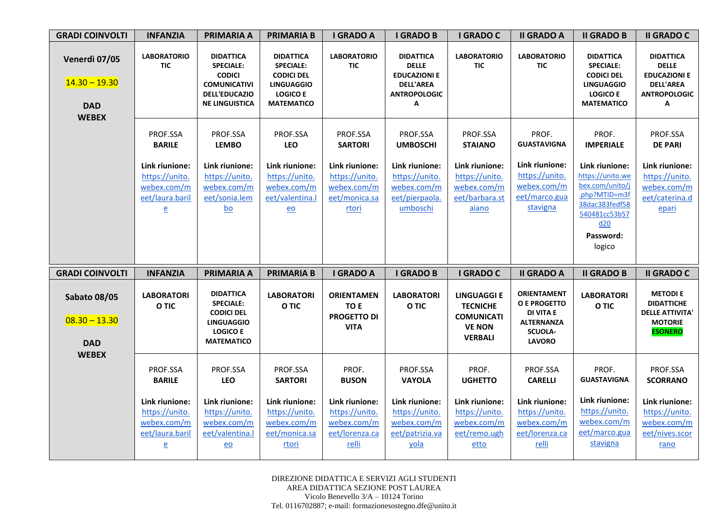| <b>GRADI COINVOLTI</b>                                         | <b>INFANZIA</b>                                                                    | <b>PRIMARIA A</b>                                                                                                             | <b>PRIMARIA B</b>                                                                                                      | <b>I GRADO A</b>                                                          | <b>I GRADO B</b>                                                                                        | <b>I GRADO C</b>                                                                              | <b>II GRADO A</b>                                                                                              | <b>II GRADO B</b>                                                                                                                       | <b>II GRADO C</b>                                                                                       |
|----------------------------------------------------------------|------------------------------------------------------------------------------------|-------------------------------------------------------------------------------------------------------------------------------|------------------------------------------------------------------------------------------------------------------------|---------------------------------------------------------------------------|---------------------------------------------------------------------------------------------------------|-----------------------------------------------------------------------------------------------|----------------------------------------------------------------------------------------------------------------|-----------------------------------------------------------------------------------------------------------------------------------------|---------------------------------------------------------------------------------------------------------|
| Venerdì 07/05<br>$14.30 - 19.30$<br><b>DAD</b><br><b>WEBEX</b> | <b>LABORATORIO</b><br><b>TIC</b>                                                   | <b>DIDATTICA</b><br><b>SPECIALE:</b><br><b>CODICI</b><br><b>COMUNICATIVI</b><br><b>DELL'EDUCAZIO</b><br><b>NE LINGUISTICA</b> | <b>DIDATTICA</b><br><b>SPECIALE:</b><br><b>CODICI DEL</b><br><b>LINGUAGGIO</b><br><b>LOGICO E</b><br><b>MATEMATICO</b> | <b>LABORATORIO</b><br><b>TIC</b>                                          | <b>DIDATTICA</b><br><b>DELLE</b><br><b>EDUCAZIONI E</b><br><b>DELL'AREA</b><br><b>ANTROPOLOGIC</b><br>А | <b>LABORATORIO</b><br><b>TIC</b>                                                              | <b>LABORATORIO</b><br><b>TIC</b>                                                                               | <b>DIDATTICA</b><br><b>SPECIALE:</b><br><b>CODICI DEL</b><br><b>LINGUAGGIO</b><br><b>LOGICO E</b><br><b>MATEMATICO</b>                  | <b>DIDATTICA</b><br><b>DELLE</b><br><b>EDUCAZIONI E</b><br><b>DELL'AREA</b><br><b>ANTROPOLOGIC</b><br>Α |
|                                                                | PROF.SSA<br><b>BARILE</b>                                                          | PROF.SSA<br><b>LEMBO</b>                                                                                                      | PROF.SSA<br>LEO                                                                                                        | PROF.SSA<br><b>SARTORI</b>                                                | PROF.SSA<br><b>UMBOSCHI</b>                                                                             | PROF.SSA<br><b>STAIANO</b>                                                                    | PROF.<br><b>GUASTAVIGNA</b>                                                                                    | PROF.<br><b>IMPERIALE</b>                                                                                                               | PROF.SSA<br><b>DE PARI</b>                                                                              |
|                                                                | Link riunione:<br>https://unito.<br>webex.com/m<br>eet/laura.baril<br>$\mathbf{e}$ | Link riunione:<br>https://unito.<br>webex.com/m<br>eet/sonia.lem<br>$\underline{bo}$                                          | Link riunione:<br>https://unito.<br>webex.com/m<br>eet/valentina.l<br>$eo$                                             | Link riunione:<br>https://unito.<br>webex.com/m<br>eet/monica.sa<br>rtori | Link riunione:<br>https://unito.<br>webex.com/m<br>eet/pierpaola.<br>umboschi                           | Link riunione:<br>https://unito.<br>webex.com/m<br>eet/barbara.st<br>aiano                    | Link riunione:<br>https://unito.<br>webex.com/m<br>eet/marco.gua<br>stavigna                                   | Link riunione:<br>https://unito.we<br>bex.com/unito/j<br>.php?MTID=m3f<br>38dac383fedf58<br>540481cc53b57<br>d20<br>Password:<br>logico | Link riunione:<br>https://unito.<br>webex.com/m<br>eet/caterina.d<br>epari                              |
| <b>GRADI COINVOLTI</b>                                         | <b>INFANZIA</b>                                                                    | <b>PRIMARIA A</b>                                                                                                             | <b>PRIMARIA B</b>                                                                                                      | <b>I GRADO A</b>                                                          | <b>I GRADO B</b>                                                                                        | I GRADO C                                                                                     | <b>II GRADO A</b>                                                                                              | <b>II GRADO B</b>                                                                                                                       | <b>II GRADO C</b>                                                                                       |
| <b>Sabato 08/05</b><br>$08.30 - 13.30$<br><b>DAD</b>           | <b>LABORATORI</b><br>O TIC                                                         | <b>DIDATTICA</b><br><b>SPECIALE:</b><br><b>CODICI DEL</b><br><b>LINGUAGGIO</b><br><b>LOGICO E</b><br><b>MATEMATICO</b>        | <b>LABORATORI</b><br>O TIC                                                                                             | <b>ORIENTAMEN</b><br>TO E<br><b>PROGETTO DI</b><br><b>VITA</b>            | <b>LABORATORI</b><br>O TIC                                                                              | <b>LINGUAGGI E</b><br><b>TECNICHE</b><br><b>COMUNICATI</b><br><b>VE NON</b><br><b>VERBALI</b> | ORIENTAMENT<br><b>O E PROGETTO</b><br><b>DI VITA E</b><br><b>ALTERNANZA</b><br><b>SCUOLA-</b><br><b>LAVORO</b> | <b>LABORATORI</b><br>O TIC                                                                                                              | <b>METODIE</b><br><b>DIDATTICHE</b><br><b>DELLE ATTIVITA'</b><br><b>MOTORIE</b><br><b>ESONERO</b>       |
| <b>WEBEX</b>                                                   | PROF.SSA<br><b>BARILE</b>                                                          | PROF.SSA<br>LEO                                                                                                               | PROF.SSA<br><b>SARTORI</b>                                                                                             | PROF.<br><b>BUSON</b>                                                     | PROF.SSA<br><b>VAYOLA</b>                                                                               | PROF.<br><b>UGHETTO</b>                                                                       | PROF.SSA<br><b>CARELLI</b>                                                                                     | PROF.<br><b>GUASTAVIGNA</b>                                                                                                             | PROF.SSA<br><b>SCORRANO</b>                                                                             |
|                                                                | Link riunione:<br>https://unito.                                                   | Link riunione:<br>https://unito.                                                                                              | Link riunione:<br>https://unito.                                                                                       | Link riunione:<br>https://unito.                                          | Link riunione:<br>https://unito.                                                                        | Link riunione:<br>https://unito.                                                              | Link riunione:<br>https://unito.                                                                               | Link riunione:<br>https://unito.                                                                                                        | Link riunione:<br>https://unito.                                                                        |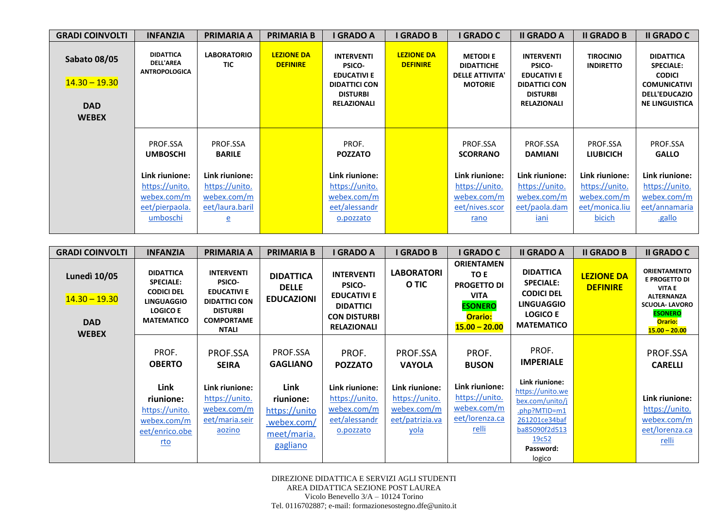| <b>GRADI COINVOLTI</b>                                               | <b>INFANZIA</b>                                                               | <b>PRIMARIA A</b>                                                                    | <b>PRIMARIA B</b>                    | <b>I GRADO A</b>                                                                                                          | <b>I GRADO B</b>                     | I GRADO C                                                                       | <b>II GRADO A</b>                                                                                                         | <b>II GRADO B</b>                                                           | <b>II GRADO C</b>                                                                                                             |
|----------------------------------------------------------------------|-------------------------------------------------------------------------------|--------------------------------------------------------------------------------------|--------------------------------------|---------------------------------------------------------------------------------------------------------------------------|--------------------------------------|---------------------------------------------------------------------------------|---------------------------------------------------------------------------------------------------------------------------|-----------------------------------------------------------------------------|-------------------------------------------------------------------------------------------------------------------------------|
| <b>Sabato 08/05</b><br>$14.30 - 19.30$<br><b>DAD</b><br><b>WEBEX</b> | <b>DIDATTICA</b><br><b>DELL'AREA</b><br><b>ANTROPOLOGICA</b>                  | <b>LABORATORIO</b><br><b>TIC</b>                                                     | <b>LEZIONE DA</b><br><b>DEFINIRE</b> | <b>INTERVENTI</b><br><b>PSICO-</b><br><b>EDUCATIVI E</b><br><b>DIDATTICI CON</b><br><b>DISTURBI</b><br><b>RELAZIONALI</b> | <b>LEZIONE DA</b><br><b>DEFINIRE</b> | <b>METODIE</b><br><b>DIDATTICHE</b><br><b>DELLE ATTIVITA'</b><br><b>MOTORIE</b> | <b>INTERVENTI</b><br><b>PSICO-</b><br><b>EDUCATIVI E</b><br><b>DIDATTICI CON</b><br><b>DISTURBI</b><br><b>RELAZIONALI</b> | <b>TIROCINIO</b><br><b>INDIRETTO</b>                                        | <b>DIDATTICA</b><br><b>SPECIALE:</b><br><b>CODICI</b><br><b>COMUNICATIVI</b><br><b>DELL'EDUCAZIO</b><br><b>NE LINGUISTICA</b> |
|                                                                      | PROF.SSA<br><b>UMBOSCHI</b>                                                   | PROF.SSA<br><b>BARILE</b>                                                            |                                      | PROF.<br><b>POZZATO</b>                                                                                                   |                                      | PROF.SSA<br><b>SCORRANO</b>                                                     | PROF.SSA<br><b>DAMIANI</b>                                                                                                | PROF.SSA<br><b>LIUBICICH</b>                                                | PROF.SSA<br><b>GALLO</b>                                                                                                      |
|                                                                      | Link riunione:<br>https://unito.<br>webex.com/m<br>eet/pierpaola.<br>umboschi | Link riunione:<br>https://unito.<br>webex.com/m<br>eet/laura.baril<br>$\overline{e}$ |                                      | Link riunione:<br>https://unito.<br>webex.com/m<br>eet/alessandr<br>o.pozzato                                             |                                      | Link riunione:<br>https://unito.<br>webex.com/m<br>eet/nives.scor<br>rano       | Link riunione:<br>https://unito.<br>webex.com/m<br>eet/paola.dam<br>iani                                                  | Link riunione:<br>https://unito.<br>webex.com/m<br>eet/monica.liu<br>bicich | Link riunione:<br>https://unito.<br>webex.com/m<br>eet/annamaria<br>.gallo                                                    |

| <b>GRADI COINVOLTI</b>                                               | <b>INFANZIA</b>                                                                                                        | <b>PRIMARIA A</b>                                                                                                                 | <b>PRIMARIA B</b>                                                            | I GRADO A                                                                                                                 | <b>I GRADO B</b>                                                                  | I GRADO C                                                                                                             | <b>II GRADO A</b>                                                                                                                                    | <b>II GRADO B</b>                    | <b>II GRADO C</b>                                                                                                                                                |
|----------------------------------------------------------------------|------------------------------------------------------------------------------------------------------------------------|-----------------------------------------------------------------------------------------------------------------------------------|------------------------------------------------------------------------------|---------------------------------------------------------------------------------------------------------------------------|-----------------------------------------------------------------------------------|-----------------------------------------------------------------------------------------------------------------------|------------------------------------------------------------------------------------------------------------------------------------------------------|--------------------------------------|------------------------------------------------------------------------------------------------------------------------------------------------------------------|
| <b>Lunedì 10/05</b><br>$14.30 - 19.30$<br><b>DAD</b><br><b>WEBEX</b> | <b>DIDATTICA</b><br><b>SPECIALE:</b><br><b>CODICI DEL</b><br><b>LINGUAGGIO</b><br><b>LOGICO E</b><br><b>MATEMATICO</b> | <b>INTERVENTI</b><br><b>PSICO-</b><br><b>EDUCATIVI E</b><br><b>DIDATTICI CON</b><br><b>DISTURBI</b><br><b>COMPORTAME</b><br>NTALI | <b>DIDATTICA</b><br><b>DELLE</b><br><b>EDUCAZIONI</b>                        | <b>INTERVENTI</b><br><b>PSICO-</b><br><b>EDUCATIVI E</b><br><b>DIDATTICI</b><br><b>CON DISTURBI</b><br><b>RELAZIONALI</b> | <b>LABORATORI</b><br>O TIC                                                        | <b>ORIENTAMEN</b><br>TO E<br><b>PROGETTO DI</b><br><b>VITA</b><br><b>ESONERO</b><br><b>Orario:</b><br>$15.00 - 20.00$ | <b>DIDATTICA</b><br><b>SPECIALE:</b><br><b>CODICI DEL</b><br><b>LINGUAGGIO</b><br><b>LOGICO E</b><br><b>MATEMATICO</b>                               | <b>LEZIONE DA</b><br><b>DEFINIRE</b> | <b>ORIENTAMENTO</b><br><b>E PROGETTO DI</b><br><b>VITA E</b><br><b>ALTERNANZA</b><br><b>SCUOLA-LAVORO</b><br><b>ESONERO</b><br><b>Orario:</b><br>$15.00 - 20.00$ |
|                                                                      | PROF.<br><b>OBERTO</b>                                                                                                 | PROF.SSA<br><b>SEIRA</b>                                                                                                          | PROF.SSA<br><b>GAGLIANO</b>                                                  | PROF.<br><b>POZZATO</b>                                                                                                   | PROF.SSA<br><b>VAYOLA</b>                                                         | PROF.<br><b>BUSON</b>                                                                                                 | PROF.<br><b>IMPERIALE</b>                                                                                                                            |                                      | PROF.SSA<br><b>CARELLI</b>                                                                                                                                       |
|                                                                      | Link<br>riunione:<br>https://unito.<br>webex.com/m<br>eet/enrico.obe<br><u>rto</u>                                     | Link riunione:<br>https://unito.<br>webex.com/m<br>eet/maria.seir<br>aozino                                                       | Link<br>riunione:<br>https://unito<br>.webex.com/<br>meet/maria.<br>gagliano | Link riunione:<br>https://unito.<br>webex.com/m<br>eet/alessandr<br>o.pozzato                                             | Link riunione:<br>https://unito.<br>webex.com/m<br>eet/patrizia.va<br><u>yola</u> | Link riunione:<br>https://unito.<br>webex.com/m<br>eet/lorenza.ca<br><u>relli</u>                                     | Link riunione:<br>https://unito.we<br>bex.com/unito/j<br>.php?MTID=m1<br>261201ce34baf<br>ba85090f2d513<br>19 <sub>c</sub> 52<br>Password:<br>logico |                                      | Link riunione:<br>https://unito.<br>webex.com/m<br>eet/lorenza.ca<br><u>relli</u>                                                                                |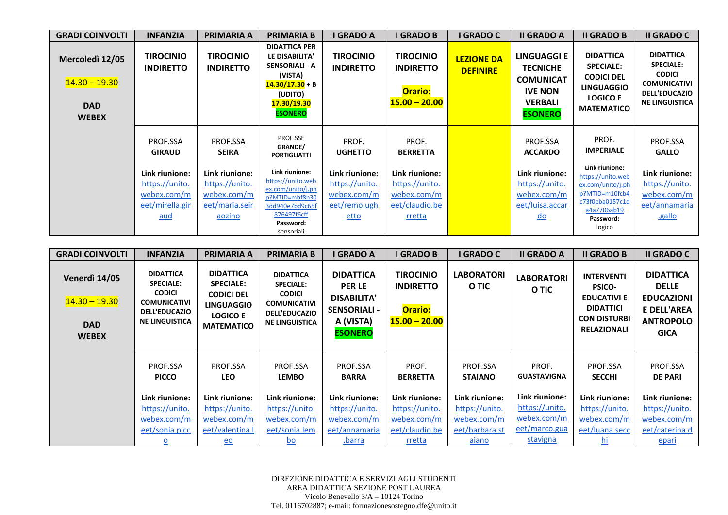| <b>GRADI COINVOLTI</b>                                           | <b>INFANZIA</b>                                                                  | <b>PRIMARIA A</b>                                                           | <b>PRIMARIA B</b>                                                                                                                           | I GRADO A                                                               | <b>I GRADO B</b>                                                            | I GRADO C                            | <b>II GRADO A</b>                                                                                        | <b>II GRADO B</b>                                                                                                                   | <b>II GRADO C</b>                                                                                                             |
|------------------------------------------------------------------|----------------------------------------------------------------------------------|-----------------------------------------------------------------------------|---------------------------------------------------------------------------------------------------------------------------------------------|-------------------------------------------------------------------------|-----------------------------------------------------------------------------|--------------------------------------|----------------------------------------------------------------------------------------------------------|-------------------------------------------------------------------------------------------------------------------------------------|-------------------------------------------------------------------------------------------------------------------------------|
| Mercoledì 12/05<br>$14.30 - 19.30$<br><b>DAD</b><br><b>WEBEX</b> | <b>TIROCINIO</b><br><b>INDIRETTO</b>                                             | <b>TIROCINIO</b><br><b>INDIRETTO</b>                                        | <b>DIDATTICA PER</b><br>LE DISABILITA'<br><b>SENSORIALI - A</b><br>(VISTA)<br>$14.30/17.30 + B$<br>(UDITO)<br>17.30/19.30<br><b>ESONERO</b> | <b>TIROCINIO</b><br><b>INDIRETTO</b>                                    | <b>TIROCINIO</b><br><b>INDIRETTO</b><br><b>Orario:</b><br>$15.00 - 20.00$   | <b>LEZIONE DA</b><br><b>DEFINIRE</b> | LINGUAGGI E<br><b>TECNICHE</b><br><b>COMUNICAT</b><br><b>IVE NON</b><br><b>VERBALI</b><br><b>ESONERO</b> | <b>DIDATTICA</b><br><b>SPECIALE:</b><br><b>CODICI DEL</b><br><b>LINGUAGGIO</b><br><b>LOGICO E</b><br><b>MATEMATICO</b>              | <b>DIDATTICA</b><br><b>SPECIALE:</b><br><b>CODICI</b><br><b>COMUNICATIVI</b><br><b>DELL'EDUCAZIO</b><br><b>NE LINGUISTICA</b> |
|                                                                  | PROF.SSA<br><b>GIRAUD</b>                                                        | PROF.SSA<br><b>SEIRA</b>                                                    | PROF.SSE<br>GRANDE/<br><b>PORTIGLIATTI</b>                                                                                                  | PROF.<br><b>UGHETTO</b>                                                 | PROF.<br><b>BERRETTA</b>                                                    |                                      | PROF.SSA<br><b>ACCARDO</b>                                                                               | PROF.<br><b>IMPERIALE</b>                                                                                                           | PROF.SSA<br><b>GALLO</b>                                                                                                      |
|                                                                  | Link riunione:<br>https://unito.<br>webex.com/m<br>eet/mirella.gir<br><u>aud</u> | Link riunione:<br>https://unito.<br>webex.com/m<br>eet/maria.seir<br>aozino | Link riunione:<br>https://unito.web<br>ex.com/unito/j.ph<br>p?MTID=mbf8b30<br>3dd940e7bd9c65f<br>876497f6cff<br>Password:<br>sensoriali     | Link riunione:<br>https://unito.<br>webex.com/m<br>eet/remo.ugh<br>etto | Link riunione:<br>https://unito.<br>webex.com/m<br>eet/claudio.be<br>rretta |                                      | Link riunione:<br>https://unito.<br>webex.com/m<br>eet/luisa.accar<br>$\underline{\mathsf{do}}$          | Link riunione:<br>https://unito.web<br>ex.com/unito/j.ph<br>p?MTID=m10fcb4<br>c73f0eba0157c1d<br>a4a7706ab19<br>Password:<br>logico | Link riunione:<br>https://unito.<br>webex.com/m<br>eet/annamaria<br>.gallo                                                    |

| <b>GRADI COINVOLTI</b>                                                | <b>INFANZIA</b>                                                                                                               | PRIMARIA A                                                                                                             | <b>PRIMARIA B</b>                                                                                                             | I GRADO A                                                                                                     | <b>I GRADO B</b>                                                          | I GRADO C                  | <b>II GRADO A</b>           | <b>II GRADO B</b>                                                                                                         | <b>II GRADO C</b>                                                                                              |
|-----------------------------------------------------------------------|-------------------------------------------------------------------------------------------------------------------------------|------------------------------------------------------------------------------------------------------------------------|-------------------------------------------------------------------------------------------------------------------------------|---------------------------------------------------------------------------------------------------------------|---------------------------------------------------------------------------|----------------------------|-----------------------------|---------------------------------------------------------------------------------------------------------------------------|----------------------------------------------------------------------------------------------------------------|
| <b>Venerdì 14/05</b><br>$14.30 - 19.30$<br><b>DAD</b><br><b>WEBEX</b> | <b>DIDATTICA</b><br><b>SPECIALE:</b><br><b>CODICI</b><br><b>COMUNICATIVI</b><br><b>DELL'EDUCAZIO</b><br><b>NE LINGUISTICA</b> | <b>DIDATTICA</b><br><b>SPECIALE:</b><br><b>CODICI DEL</b><br><b>LINGUAGGIO</b><br><b>LOGICO E</b><br><b>MATEMATICO</b> | <b>DIDATTICA</b><br><b>SPECIALE:</b><br><b>CODICI</b><br><b>COMUNICATIVI</b><br><b>DELL'EDUCAZIO</b><br><b>NE LINGUISTICA</b> | <b>DIDATTICA</b><br><b>PER LE</b><br><b>DISABILITA'</b><br><b>SENSORIALI -</b><br>A (VISTA)<br><b>ESONERO</b> | <b>TIROCINIO</b><br><b>INDIRETTO</b><br><b>Orario:</b><br>$15.00 - 20.00$ | <b>LABORATORI</b><br>O TIC | <b>LABORATORI</b><br>O TIC  | <b>INTERVENTI</b><br><b>PSICO-</b><br><b>EDUCATIVI E</b><br><b>DIDATTICI</b><br><b>CON DISTURBI</b><br><b>RELAZIONALI</b> | <b>DIDATTICA</b><br><b>DELLE</b><br><b>EDUCAZIONI</b><br><b>E DELL'AREA</b><br><b>ANTROPOLO</b><br><b>GICA</b> |
|                                                                       | PROF.SSA<br><b>PICCO</b>                                                                                                      | PROF.SSA<br><b>LEO</b>                                                                                                 | PROF.SSA<br><b>LEMBO</b>                                                                                                      | PROF.SSA<br><b>BARRA</b>                                                                                      | PROF.<br><b>BERRETTA</b>                                                  | PROF.SSA<br><b>STAIANO</b> | PROF.<br><b>GUASTAVIGNA</b> | PROF.SSA<br><b>SECCHI</b>                                                                                                 | PROF.SSA<br><b>DE PARI</b>                                                                                     |
|                                                                       | Link riunione:                                                                                                                | Link riunione:                                                                                                         | Link riunione:                                                                                                                | Link riunione:                                                                                                | Link riunione:                                                            | Link riunione:             | Link riunione:              | Link riunione:                                                                                                            | Link riunione:                                                                                                 |
|                                                                       | https://unito.                                                                                                                | https://unito.                                                                                                         | https://unito.                                                                                                                | https://unito.                                                                                                | https://unito.                                                            | https://unito.             | https://unito.              | https://unito.                                                                                                            | https://unito.                                                                                                 |
|                                                                       | webex.com/m                                                                                                                   | webex.com/m                                                                                                            | webex.com/m                                                                                                                   | webex.com/m                                                                                                   | webex.com/m                                                               | webex.com/m                | webex.com/m                 | webex.com/m                                                                                                               | webex.com/m                                                                                                    |
|                                                                       | eet/sonia.picc                                                                                                                | eet/valentina.                                                                                                         | eet/sonia.lem                                                                                                                 | eet/annamaria                                                                                                 | eet/claudio.be                                                            | eet/barbara.st             | eet/marco.gua               | eet/luana.secc                                                                                                            | eet/caterina.d                                                                                                 |
|                                                                       | $\overline{\mathbf{o}}$                                                                                                       | $eo$                                                                                                                   | <u>bo</u>                                                                                                                     | .barra                                                                                                        | rretta                                                                    | <u>aiano</u>               | <b>stavigna</b>             | <u>hi</u>                                                                                                                 | epari                                                                                                          |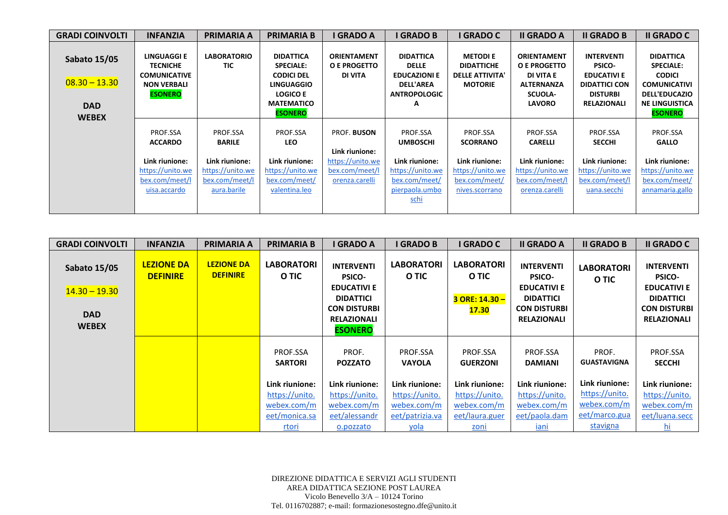| <b>GRADI COINVOLTI</b>                               | <b>INFANZIA</b>                                                                               | <b>PRIMARIA A</b>                | <b>PRIMARIA B</b>                                                                                                      | <b>I GRADO A</b>                                     | <b>I GRADO B</b>                                                                                        | <b>I GRADO C</b>                                                                 | <b>II GRADO A</b>                                                                                       | <b>II GRADO B</b>                                                                                                         | <b>II GRADO C</b>                                                                                                             |
|------------------------------------------------------|-----------------------------------------------------------------------------------------------|----------------------------------|------------------------------------------------------------------------------------------------------------------------|------------------------------------------------------|---------------------------------------------------------------------------------------------------------|----------------------------------------------------------------------------------|---------------------------------------------------------------------------------------------------------|---------------------------------------------------------------------------------------------------------------------------|-------------------------------------------------------------------------------------------------------------------------------|
| <b>Sabato 15/05</b><br>$08.30 - 13.30$<br><b>DAD</b> | LINGUAGGI E<br><b>TECNICHE</b><br><b>COMUNICATIVE</b><br><b>NON VERBALI</b><br><b>ESONERO</b> | <b>LABORATORIO</b><br><b>TIC</b> | <b>DIDATTICA</b><br><b>SPECIALE:</b><br><b>CODICI DEL</b><br><b>LINGUAGGIO</b><br><b>LOGICO E</b><br><b>MATEMATICO</b> | <b>ORIENTAMENT</b><br>O E PROGETTO<br><b>DI VITA</b> | <b>DIDATTICA</b><br><b>DELLE</b><br><b>EDUCAZIONI E</b><br><b>DELL'AREA</b><br><b>ANTROPOLOGIC</b><br>A | <b>METODI E</b><br><b>DIDATTICHE</b><br><b>DELLE ATTIVITA'</b><br><b>MOTORIE</b> | <b>ORIENTAMENT</b><br>O E PROGETTO<br>DI VITA E<br><b>ALTERNANZA</b><br><b>SCUOLA-</b><br><b>LAVORO</b> | <b>INTERVENTI</b><br><b>PSICO-</b><br><b>EDUCATIVI E</b><br><b>DIDATTICI CON</b><br><b>DISTURBI</b><br><b>RELAZIONALI</b> | <b>DIDATTICA</b><br><b>SPECIALE:</b><br><b>CODICI</b><br><b>COMUNICATIVI</b><br><b>DELL'EDUCAZIO</b><br><b>NE LINGUISTICA</b> |
| <b>WEBEX</b>                                         |                                                                                               |                                  | <b>ESONERO</b>                                                                                                         |                                                      |                                                                                                         |                                                                                  |                                                                                                         |                                                                                                                           | <b>ESONERO</b>                                                                                                                |
|                                                      | PROF.SSA<br><b>ACCARDO</b>                                                                    | PROF.SSA<br><b>BARILE</b>        | PROF.SSA<br><b>LEO</b>                                                                                                 | <b>PROF. BUSON</b><br>Link riunione:                 | PROF.SSA<br><b>UMBOSCHI</b>                                                                             | PROF.SSA<br><b>SCORRANO</b>                                                      | PROF.SSA<br><b>CARELLI</b>                                                                              | PROF.SSA<br><b>SECCHI</b>                                                                                                 | PROF.SSA<br><b>GALLO</b>                                                                                                      |
|                                                      | Link riunione:                                                                                | Link riunione:                   | Link riunione:                                                                                                         | https://unito.we                                     | Link riunione:                                                                                          | Link riunione:                                                                   | Link riunione:                                                                                          | Link riunione:                                                                                                            | Link riunione:                                                                                                                |
|                                                      | https://unito.we                                                                              | https://unito.we                 | https://unito.we                                                                                                       | bex.com/meet/l                                       | https://unito.we                                                                                        | https://unito.we                                                                 | https://unito.we                                                                                        | https://unito.we                                                                                                          | https://unito.we                                                                                                              |
|                                                      | bex.com/meet/l<br>uisa.accardo                                                                | bex.com/meet/l<br>aura.barile    | bex.com/meet/<br>valentina.leo                                                                                         | orenza.carelli                                       | bex.com/meet/<br>pierpaola.umbo<br><u>schi</u>                                                          | bex.com/meet/<br>nives.scorrano                                                  | bex.com/meet/<br>orenza.carelli                                                                         | bex.com/meet/<br>uana.secchi                                                                                              | bex.com/meet/<br>annamaria.gallo                                                                                              |

| <b>GRADI COINVOLTI</b>                                               | <b>INFANZIA</b>                      | PRIMARIA A                           | <b>PRIMARIA B</b>                                                                                       | I GRADO A                                                                                                                                   | <b>I GRADO B</b>                                                                                        | I GRADO C                                                                                                | <b>II GRADO A</b>                                                                                                         | <b>II GRADO B</b>                                                                                           | <b>II GRADO C</b>                                                                                                         |
|----------------------------------------------------------------------|--------------------------------------|--------------------------------------|---------------------------------------------------------------------------------------------------------|---------------------------------------------------------------------------------------------------------------------------------------------|---------------------------------------------------------------------------------------------------------|----------------------------------------------------------------------------------------------------------|---------------------------------------------------------------------------------------------------------------------------|-------------------------------------------------------------------------------------------------------------|---------------------------------------------------------------------------------------------------------------------------|
| <b>Sabato 15/05</b><br>$14.30 - 19.30$<br><b>DAD</b><br><b>WEBEX</b> | <b>LEZIONE DA</b><br><b>DEFINIRE</b> | <b>LEZIONE DA</b><br><b>DEFINIRE</b> | <b>LABORATORI</b><br>O TIC                                                                              | <b>INTERVENTI</b><br><b>PSICO-</b><br><b>EDUCATIVI E</b><br><b>DIDATTICI</b><br><b>CON DISTURBI</b><br><b>RELAZIONALI</b><br><b>ESONERO</b> | <b>LABORATORI</b><br>O TIC                                                                              | <b>LABORATORI</b><br>O TIC<br>$3$ ORE: 14.30 -<br><b>17.30</b>                                           | <b>INTERVENTI</b><br><b>PSICO-</b><br><b>EDUCATIVI E</b><br><b>DIDATTICI</b><br><b>CON DISTURBI</b><br><b>RELAZIONALI</b> | <b>LABORATORI</b><br>O TIC                                                                                  | <b>INTERVENTI</b><br><b>PSICO-</b><br><b>EDUCATIVI E</b><br><b>DIDATTICI</b><br><b>CON DISTURBI</b><br><b>RELAZIONALI</b> |
|                                                                      |                                      |                                      | PROF.SSA<br><b>SARTORI</b><br>Link riunione:<br>https://unito.<br>webex.com/m<br>eet/monica.sa<br>rtori | PROF.<br><b>POZZATO</b><br>Link riunione:<br>https://unito.<br>webex.com/m<br>eet/alessandr<br>o.pozzato                                    | PROF.SSA<br><b>VAYOLA</b><br>Link riunione:<br>https://unito.<br>webex.com/m<br>eet/patrizia.va<br>yola | PROF.SSA<br><b>GUERZONI</b><br>Link riunione:<br>https://unito.<br>webex.com/m<br>eet/laura.guer<br>zoni | PROF.SSA<br><b>DAMIANI</b><br>Link riunione:<br>https://unito.<br>webex.com/m<br>eet/paola.dam<br>iani                    | PROF.<br><b>GUASTAVIGNA</b><br>Link riunione:<br>https://unito.<br>webex.com/m<br>eet/marco.gua<br>stavigna | PROF.SSA<br><b>SECCHI</b><br>Link riunione:<br>https://unito.<br>webex.com/m<br>eet/luana.secc<br><u>hi</u>               |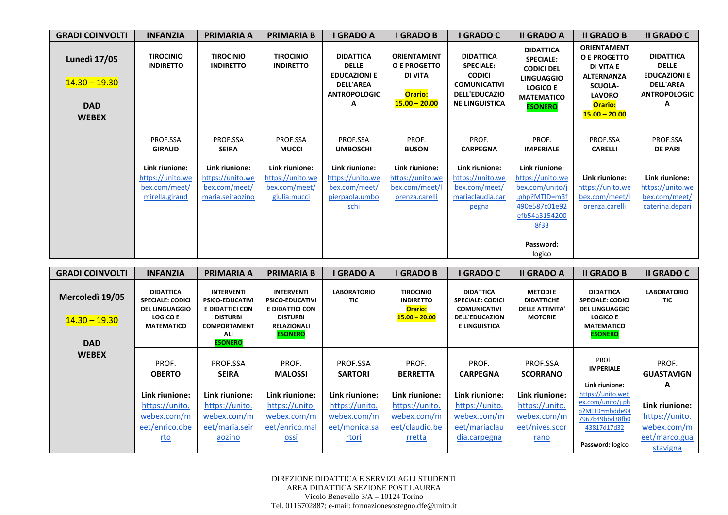| <b>GRADI COINVOLTI</b>                                               | <b>INFANZIA</b>                                                       | <b>PRIMARIA A</b>                                                       | <b>PRIMARIA B</b>                                                   | I GRADO A                                                                                               | <b>I GRADO B</b>                                                                                 | I GRADO C                                                                                                                     | <b>II GRADO A</b>                                                                                                                        | <b>II GRADO B</b>                                                                                                                            | <b>II GRADO C</b>                                                                                       |
|----------------------------------------------------------------------|-----------------------------------------------------------------------|-------------------------------------------------------------------------|---------------------------------------------------------------------|---------------------------------------------------------------------------------------------------------|--------------------------------------------------------------------------------------------------|-------------------------------------------------------------------------------------------------------------------------------|------------------------------------------------------------------------------------------------------------------------------------------|----------------------------------------------------------------------------------------------------------------------------------------------|---------------------------------------------------------------------------------------------------------|
| <b>Lunedì 17/05</b><br>$14.30 - 19.30$<br><b>DAD</b><br><b>WEBEX</b> | <b>TIROCINIO</b><br><b>INDIRETTO</b>                                  | <b>TIROCINIO</b><br><b>INDIRETTO</b>                                    | <b>TIROCINIO</b><br><b>INDIRETTO</b>                                | <b>DIDATTICA</b><br><b>DELLE</b><br><b>EDUCAZIONI E</b><br><b>DELL'AREA</b><br><b>ANTROPOLOGIC</b><br>Α | <b>ORIENTAMENT</b><br><b>O E PROGETTO</b><br><b>DI VITA</b><br><b>Orario:</b><br>$15.00 - 20.00$ | <b>DIDATTICA</b><br><b>SPECIALE:</b><br><b>CODICI</b><br><b>COMUNICATIVI</b><br><b>DELL'EDUCAZIO</b><br><b>NE LINGUISTICA</b> | <b>DIDATTICA</b><br><b>SPECIALE:</b><br><b>CODICI DEL</b><br><b>LINGUAGGIO</b><br><b>LOGICO E</b><br><b>MATEMATICO</b><br><b>ESONERO</b> | <b>ORIENTAMENT</b><br><b>O E PROGETTO</b><br>DI VITA E<br><b>ALTERNANZA</b><br><b>SCUOLA-</b><br><b>LAVORO</b><br>Orario:<br>$15.00 - 20.00$ | <b>DIDATTICA</b><br><b>DELLE</b><br><b>EDUCAZIONI E</b><br><b>DELL'AREA</b><br><b>ANTROPOLOGIC</b><br>A |
|                                                                      | PROF.SSA<br><b>GIRAUD</b>                                             | PROF.SSA<br><b>SEIRA</b>                                                | PROF.SSA<br><b>MUCCI</b>                                            | PROF.SSA<br><b>UMBOSCHI</b>                                                                             | PROF.<br><b>BUSON</b>                                                                            | PROF.<br><b>CARPEGNA</b>                                                                                                      | PROF.<br><b>IMPERIALE</b>                                                                                                                | PROF.SSA<br><b>CARELLI</b>                                                                                                                   | PROF.SSA<br><b>DE PARI</b>                                                                              |
|                                                                      | Link riunione:<br>https://unito.we<br>bex.com/meet/<br>mirella.giraud | Link riunione:<br>https://unito.we<br>bex.com/meet/<br>maria.seiraozino | Link riunione:<br>https://unito.we<br>bex.com/meet/<br>giulia.mucci | Link riunione:<br>https://unito.we<br>bex.com/meet/<br>pierpaola.umbo<br>schi                           | Link riunione:<br>https://unito.we<br>bex.com/meet/l<br>orenza.carelli                           | Link riunione:<br>https://unito.we<br>bex.com/meet/<br>mariaclaudia.car<br>pegna                                              | Link riunione:<br>https://unito.we<br>bex.com/unito/j<br>.php?MTID=m3f<br>490e587c01e92<br>efb54a3154200<br>8f33<br>Password:<br>logico  | Link riunione:<br>https://unito.we<br>bex.com/meet/l<br>orenza.carelli                                                                       | Link riunione:<br>https://unito.we<br>bex.com/meet/<br>caterina.depari                                  |

| <b>GRADI COINVOLTI</b>                           | <b>INFANZIA</b>                                                                                              | <b>PRIMARIA A</b>                                                                                                                        | <b>PRIMARIA B</b>                                                                                                         | I GRADO A                  | I GRADO B                                                          | <b>GRADO C</b>                                                                                                      | <b>II GRADO A</b>                                                               | <b>II GRADO B</b>                                                                                                              | <b>II GRADO C</b>          |
|--------------------------------------------------|--------------------------------------------------------------------------------------------------------------|------------------------------------------------------------------------------------------------------------------------------------------|---------------------------------------------------------------------------------------------------------------------------|----------------------------|--------------------------------------------------------------------|---------------------------------------------------------------------------------------------------------------------|---------------------------------------------------------------------------------|--------------------------------------------------------------------------------------------------------------------------------|----------------------------|
| Mercoledì 19/05<br>$14.30 - 19.30$<br><b>DAD</b> | <b>DIDATTICA</b><br><b>SPECIALE: CODICI</b><br><b>DEL LINGUAGGIO</b><br><b>LOGICO E</b><br><b>MATEMATICO</b> | <b>INTERVENTI</b><br><b>PSICO-EDUCATIVI</b><br><b>E DIDATTICI CON</b><br><b>DISTURBI</b><br><b>COMPORTAMENT</b><br>ALI<br><b>ESONERO</b> | <b>INTERVENTI</b><br><b>PSICO-EDUCATIVI</b><br>E DIDATTICI CON<br><b>DISTURBI</b><br><b>RELAZIONALI</b><br><b>ESONERO</b> | <b>LABORATORIO</b><br>TIC  | <b>TIROCINIO</b><br><b>INDIRETTO</b><br>Orario:<br>$15.00 - 20.00$ | <b>DIDATTICA</b><br><b>SPECIALE: CODICI</b><br><b>COMUNICATIVI</b><br><b>DELL'EDUCAZION</b><br><b>E LINGUISTICA</b> | <b>METODIE</b><br><b>DIDATTICHE</b><br><b>DELLE ATTIVITA'</b><br><b>MOTORIE</b> | <b>DIDATTICA</b><br><b>SPECIALE: CODICI</b><br><b>DEL LINGUAGGIO</b><br><b>LOGICO E</b><br><b>MATEMATICO</b><br><b>ESONERO</b> | <b>LABORATORIO</b><br>TIC  |
| <b>WEBEX</b>                                     | PROF.<br><b>OBERTO</b>                                                                                       | PROF.SSA<br><b>SEIRA</b>                                                                                                                 | PROF.<br><b>MALOSSI</b>                                                                                                   | PROF.SSA<br><b>SARTORI</b> | PROF.<br><b>BERRETTA</b>                                           | PROF.<br><b>CARPEGNA</b>                                                                                            | PROF.SSA<br><b>SCORRANO</b>                                                     | PROF.<br><b>IMPERIALE</b>                                                                                                      | PROF.<br><b>GUASTAVIGN</b> |
|                                                  |                                                                                                              |                                                                                                                                          |                                                                                                                           |                            |                                                                    |                                                                                                                     |                                                                                 | Link riunione:                                                                                                                 | A                          |
|                                                  | Link riunione:                                                                                               | Link riunione:                                                                                                                           | Link riunione:                                                                                                            | Link riunione:             | Link riunione:                                                     | Link riunione:                                                                                                      | Link riunione:                                                                  | https://unito.web                                                                                                              |                            |
|                                                  | https://unito.                                                                                               | https://unito.                                                                                                                           | https://unito.                                                                                                            | https://unito.             | https://unito.                                                     | https://unito.                                                                                                      | https://unito.                                                                  | ex.com/unito/j.ph<br>p?MTID=mbdde94                                                                                            | Link riunione:             |
|                                                  | webex.com/m                                                                                                  | webex.com/m                                                                                                                              | webex.com/m                                                                                                               | webex.com/m                | webex.com/m                                                        | webex.com/m                                                                                                         | webex.com/m                                                                     | 7967b49bbd38fb0                                                                                                                | https://unito.             |
|                                                  | eet/enrico.obe                                                                                               | eet/maria.seir                                                                                                                           | eet/enrico.mal                                                                                                            | eet/monica.sa              | eet/claudio.be                                                     | eet/mariaclau                                                                                                       | eet/nives.scor                                                                  | 43817d17d32                                                                                                                    | webex.com/m                |
|                                                  | <u>rto</u>                                                                                                   | aozino                                                                                                                                   | <b>OSSi</b>                                                                                                               | rtori                      | rretta                                                             | dia.carpegna                                                                                                        | rano                                                                            |                                                                                                                                | eet/marco.gua              |
|                                                  |                                                                                                              |                                                                                                                                          |                                                                                                                           |                            |                                                                    |                                                                                                                     |                                                                                 | Password: logico                                                                                                               | stavigna                   |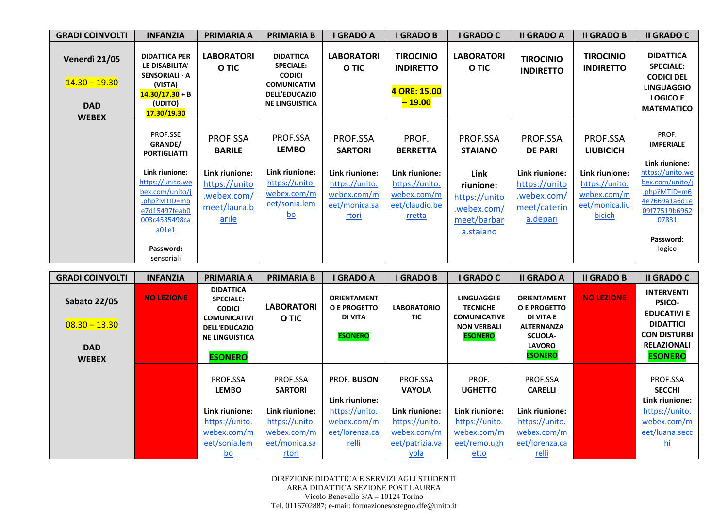| <b>GRADI COINVOLTI</b>                                         | <b>INFANZIA</b>                                                                                                                                                             | <b>PRIMARIA A</b>                                                                                    | <b>PRIMARIA B</b>                                                                                                             | I GRADO A                                                                                               | <b>I GRADO B</b>                                                                                        | I GRADO C                                                                                                   | <b>II GRADO A</b>                                                                                        | <b>II GRADO B</b>                                                                                           | <b>II GRADO C</b>                                                                                                                                                    |
|----------------------------------------------------------------|-----------------------------------------------------------------------------------------------------------------------------------------------------------------------------|------------------------------------------------------------------------------------------------------|-------------------------------------------------------------------------------------------------------------------------------|---------------------------------------------------------------------------------------------------------|---------------------------------------------------------------------------------------------------------|-------------------------------------------------------------------------------------------------------------|----------------------------------------------------------------------------------------------------------|-------------------------------------------------------------------------------------------------------------|----------------------------------------------------------------------------------------------------------------------------------------------------------------------|
| Venerdì 21/05<br>$14.30 - 19.30$<br><b>DAD</b><br><b>WEBEX</b> | <b>DIDATTICA PER</b><br>LE DISABILITA'<br><b>SENSORIALI - A</b><br>(VISTA)<br>$14.30/17.30 + B$<br>(UDITO)<br>17.30/19.30                                                   | <b>LABORATORI</b><br>O TIC                                                                           | <b>DIDATTICA</b><br><b>SPECIALE:</b><br><b>CODICI</b><br><b>COMUNICATIVI</b><br><b>DELL'EDUCAZIO</b><br><b>NE LINGUISTICA</b> | <b>LABORATORI</b><br>O TIC                                                                              | <b>TIROCINIO</b><br><b>INDIRETTO</b><br>4 ORE: 15.00<br>$-19.00$                                        | <b>LABORATORI</b><br>O TIC                                                                                  | <b>TIROCINIO</b><br><b>INDIRETTO</b>                                                                     | <b>TIROCINIO</b><br><b>INDIRETTO</b>                                                                        | <b>DIDATTICA</b><br><b>SPECIALE:</b><br><b>CODICI DEL</b><br><b>LINGUAGGIO</b><br><b>LOGICO E</b><br><b>MATEMATICO</b>                                               |
|                                                                | PROF.SSE<br>GRANDE/<br><b>PORTIGLIATTI</b><br>Link riunione:<br>https://unito.we<br>bex.com/unito/j<br>.php?MTID=mb<br>e7d15497feab0<br>003c4535498ca<br>a01e1<br>Password: | PROF.SSA<br><b>BARILE</b><br>Link riunione:<br>https://unito<br>.webex.com/<br>meet/laura.b<br>arile | PROF.SSA<br><b>LEMBO</b><br>Link riunione:<br>https://unito.<br>webex.com/m<br>eet/sonia.lem<br>$\underline{\mathsf{bo}}$     | PROF.SSA<br><b>SARTORI</b><br>Link riunione:<br>https://unito.<br>webex.com/m<br>eet/monica.sa<br>rtori | PROF.<br><b>BERRETTA</b><br>Link riunione:<br>https://unito.<br>webex.com/m<br>eet/claudio.be<br>rretta | PROF.SSA<br><b>STAIANO</b><br>Link<br>riunione:<br>https://unito<br>.webex.com/<br>meet/barbar<br>a.stajano | PROF.SSA<br><b>DE PARI</b><br>Link riunione:<br>https://unito<br>.webex.com/<br>meet/caterin<br>a.depari | PROF.SSA<br><b>LIUBICICH</b><br>Link riunione:<br>https://unito.<br>webex.com/m<br>eet/monica.liu<br>bicich | PROF.<br><b>IMPERIALE</b><br>Link riunione:<br>https://unito.we<br>bex.com/unito/j<br>.php?MTID=m6<br>4e7669a1a6d1e<br>09f77519b6962<br>07831<br>Password:<br>logico |
|                                                                | sensoriali                                                                                                                                                                  |                                                                                                      |                                                                                                                               |                                                                                                         |                                                                                                         |                                                                                                             |                                                                                                          |                                                                                                             |                                                                                                                                                                      |

| <b>GRADI COINVOLTI</b>                               | <b>INFANZIA</b>   | <b>PRIMARIA A</b>                                                                                                                               | <b>PRIMARIA B</b>          | <b>I GRADO A</b>                                                       | <b>I GRADO B</b>          | I GRADO C                                                                                            | <b>II GRADO A</b>                                                                                                         | <b>II GRADO B</b> | <b>II GRADO C</b>                                                                                                                           |
|------------------------------------------------------|-------------------|-------------------------------------------------------------------------------------------------------------------------------------------------|----------------------------|------------------------------------------------------------------------|---------------------------|------------------------------------------------------------------------------------------------------|---------------------------------------------------------------------------------------------------------------------------|-------------------|---------------------------------------------------------------------------------------------------------------------------------------------|
| <b>Sabato 22/05</b><br>$08.30 - 13.30$<br><b>DAD</b> | <b>NO LEZIONE</b> | <b>DIDATTICA</b><br><b>SPECIALE:</b><br><b>CODICI</b><br><b>COMUNICATIVI</b><br><b>DELL'EDUCAZIO</b><br><b>NE LINGUISTICA</b><br><b>ESONERO</b> | <b>LABORATORI</b><br>O TIC | <b>ORIENTAMENT</b><br><b>O E PROGETTO</b><br>DI VITA<br><b>ESONERO</b> | <b>LABORATORIO</b><br>TIC | <b>LINGUAGGI E</b><br><b>TECNICHE</b><br><b>COMUNICATIVE</b><br><b>NON VERBALI</b><br><b>ESONERO</b> | <b>ORIENTAMENT</b><br>O E PROGETTO<br>DI VITA E<br><b>ALTERNANZA</b><br><b>SCUOLA-</b><br><b>LAVORO</b><br><b>ESONERO</b> | <b>NO LEZIONE</b> | <b>INTERVENTI</b><br><b>PSICO-</b><br><b>EDUCATIVI E</b><br><b>DIDATTICI</b><br><b>CON DISTURBI</b><br><b>RELAZIONALI</b><br><b>ESONERO</b> |
| <b>WEBEX</b>                                         |                   |                                                                                                                                                 |                            |                                                                        |                           |                                                                                                      |                                                                                                                           |                   |                                                                                                                                             |
|                                                      |                   | PROF.SSA<br><b>LEMBO</b>                                                                                                                        | PROF.SSA<br><b>SARTORI</b> | <b>PROF. BUSON</b>                                                     | PROF.SSA<br><b>VAYOLA</b> | PROF.<br><b>UGHETTO</b>                                                                              | PROF.SSA<br><b>CARELLI</b>                                                                                                |                   | PROF.SSA<br><b>SECCHI</b>                                                                                                                   |
|                                                      |                   |                                                                                                                                                 |                            | Link riunione:                                                         |                           |                                                                                                      |                                                                                                                           |                   | Link riunione:                                                                                                                              |
|                                                      |                   | Link riunione:                                                                                                                                  | Link riunione:             | https://unito.                                                         | Link riunione:            | Link riunione:                                                                                       | Link riunione:                                                                                                            |                   | https://unito.                                                                                                                              |
|                                                      |                   | https://unito.                                                                                                                                  | https://unito.             | webex.com/m                                                            | https://unito.            | https://unito.                                                                                       | https://unito.                                                                                                            |                   | webex.com/m                                                                                                                                 |
|                                                      |                   | webex.com/m                                                                                                                                     | <u>webex.com/m</u>         | eet/lorenza.ca                                                         | webex.com/m               | webex.com/m                                                                                          | webex.com/m                                                                                                               |                   | eet/luana.secc                                                                                                                              |
|                                                      |                   | eet/sonia.lem                                                                                                                                   | eet/monica.sa              | <u>relli</u>                                                           | eet/patrizia.va           | eet/remo.ugh                                                                                         | eet/lorenza.ca                                                                                                            |                   | <u>hi</u>                                                                                                                                   |
|                                                      |                   | $\underline{bo}$                                                                                                                                | rtori                      |                                                                        | <u>yola</u>               | etto                                                                                                 | relli                                                                                                                     |                   |                                                                                                                                             |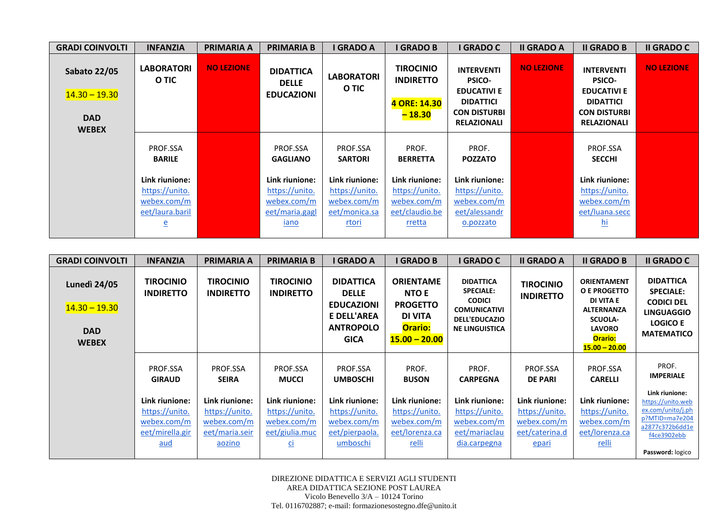| <b>GRADI COINVOLTI</b>                                               | <b>INFANZIA</b>                                                         | <b>PRIMARIA A</b> | <b>PRIMARIA B</b>                                                         | I GRADO A                                                                 | <b>I GRADO B</b>                                                            | I GRADO C                                                                                                                 | <b>II GRADO A</b> | <b>II GRADO B</b>                                                                                                         | <b>II GRADO C</b> |
|----------------------------------------------------------------------|-------------------------------------------------------------------------|-------------------|---------------------------------------------------------------------------|---------------------------------------------------------------------------|-----------------------------------------------------------------------------|---------------------------------------------------------------------------------------------------------------------------|-------------------|---------------------------------------------------------------------------------------------------------------------------|-------------------|
| <b>Sabato 22/05</b><br>$14.30 - 19.30$<br><b>DAD</b><br><b>WEBEX</b> | <b>LABORATORI</b><br>O TIC                                              | <b>NO LEZIONE</b> | <b>DIDATTICA</b><br><b>DELLE</b><br><b>EDUCAZIONI</b>                     | <b>LABORATORI</b><br>O TIC                                                | <b>TIROCINIO</b><br><b>INDIRETTO</b><br>4 ORE: 14.30<br>$-18.30$            | <b>INTERVENTI</b><br><b>PSICO-</b><br><b>EDUCATIVI E</b><br><b>DIDATTICI</b><br><b>CON DISTURBI</b><br><b>RELAZIONALI</b> | <b>NO LEZIONE</b> | <b>INTERVENTI</b><br><b>PSICO-</b><br><b>EDUCATIVI E</b><br><b>DIDATTICI</b><br><b>CON DISTURBI</b><br><b>RELAZIONALI</b> | <b>NO LEZIONE</b> |
|                                                                      | PROF.SSA<br><b>BARILE</b>                                               |                   | PROF.SSA<br><b>GAGLIANO</b>                                               | PROF.SSA<br><b>SARTORI</b>                                                | PROF.<br><b>BERRETTA</b>                                                    | PROF.<br><b>POZZATO</b>                                                                                                   |                   | PROF.SSA<br><b>SECCHI</b>                                                                                                 |                   |
|                                                                      | Link riunione:<br>https://unito.<br>webex.com/m<br>eet/laura.baril<br>e |                   | Link riunione:<br>https://unito.<br>webex.com/m<br>eet/maria.gagl<br>iano | Link riunione:<br>https://unito.<br>webex.com/m<br>eet/monica.sa<br>rtori | Link riunione:<br>https://unito.<br>webex.com/m<br>eet/claudio.be<br>rretta | Link riunione:<br>https://unito.<br>webex.com/m<br>eet/alessandr<br>o.pozzato                                             |                   | Link riunione:<br>https://unito.<br>webex.com/m<br>eet/luana.secc<br><u>hi</u>                                            |                   |

| <b>GRADI COINVOLTI</b>                                               | <b>INFANZIA</b>                                                           | PRIMARIA A                                                                  | <b>PRIMARIA B</b>                                                                              | I GRADO A                                                                                                      | <b>I GRADO B</b>                                                                                           | <b>GRADO C</b>                                                                                                                | <b>II GRADO A</b>                                                          | <b>II GRADO B</b>                                                                                                                                   | <b>II GRADO C</b>                                                                                                                |
|----------------------------------------------------------------------|---------------------------------------------------------------------------|-----------------------------------------------------------------------------|------------------------------------------------------------------------------------------------|----------------------------------------------------------------------------------------------------------------|------------------------------------------------------------------------------------------------------------|-------------------------------------------------------------------------------------------------------------------------------|----------------------------------------------------------------------------|-----------------------------------------------------------------------------------------------------------------------------------------------------|----------------------------------------------------------------------------------------------------------------------------------|
| <b>Lunedì 24/05</b><br>$14.30 - 19.30$<br><b>DAD</b><br><b>WEBEX</b> | <b>TIROCINIO</b><br><b>INDIRETTO</b>                                      | <b>TIROCINIO</b><br><b>INDIRETTO</b>                                        | <b>TIROCINIO</b><br><b>INDIRETTO</b>                                                           | <b>DIDATTICA</b><br><b>DELLE</b><br><b>EDUCAZIONI</b><br><b>E DELL'AREA</b><br><b>ANTROPOLO</b><br><b>GICA</b> | <b>ORIENTAME</b><br><b>NTO E</b><br><b>PROGETTO</b><br><b>DI VITA</b><br><b>Orario:</b><br>$15.00 - 20.00$ | <b>DIDATTICA</b><br><b>SPECIALE:</b><br><b>CODICI</b><br><b>COMUNICATIVI</b><br><b>DELL'EDUCAZIO</b><br><b>NE LINGUISTICA</b> | <b>TIROCINIO</b><br><b>INDIRETTO</b>                                       | <b>ORIENTAMENT</b><br><b>O E PROGETTO</b><br>DI VITA E<br><b>ALTERNANZA</b><br><b>SCUOLA-</b><br><b>LAVORO</b><br><b>Orario:</b><br>$15.00 - 20.00$ | <b>DIDATTICA</b><br><b>SPECIALE:</b><br><b>CODICI DEL</b><br><b>LINGUAGGIO</b><br><b>LOGICO E</b><br><b>MATEMATICO</b>           |
|                                                                      | PROF.SSA<br><b>GIRAUD</b>                                                 | PROF.SSA<br><b>SEIRA</b>                                                    | PROF.SSA<br><b>MUCCI</b>                                                                       | PROF.SSA<br><b>UMBOSCHI</b>                                                                                    | PROF.<br><b>BUSON</b>                                                                                      | PROF.<br><b>CARPEGNA</b>                                                                                                      | PROF.SSA<br><b>DE PARI</b>                                                 | PROF.SSA<br><b>CARELLI</b>                                                                                                                          | PROF.<br><b>IMPERIALE</b>                                                                                                        |
|                                                                      | Link riunione:<br>https://unito.<br>webex.com/m<br>eet/mirella.gir<br>aud | Link riunione:<br>https://unito.<br>webex.com/m<br>eet/maria.seir<br>aozino | Link riunione:<br>https://unito.<br>webex.com/m<br>eet/giulia.muc<br>$\underline{\mathsf{ci}}$ | Link riunione:<br>https://unito.<br>webex.com/m<br>eet/pierpaola.<br>umboschi                                  | Link riunione:<br>https://unito.<br>webex.com/m<br>eet/lorenza.ca<br>relli                                 | Link riunione:<br>https://unito.<br>webex.com/m<br>eet/mariaclau<br>dia.carpegna                                              | Link riunione:<br>https://unito.<br>webex.com/m<br>eet/caterina.d<br>epari | Link riunione:<br>https://unito.<br>webex.com/m<br>eet/lorenza.ca<br><u>relli</u>                                                                   | Link riunione:<br>https://unito.web<br>ex.com/unito/j.ph<br>p?MTID=ma7e204<br>a2877c372b6dd1e<br>f4ce3902ebb<br>Password: logico |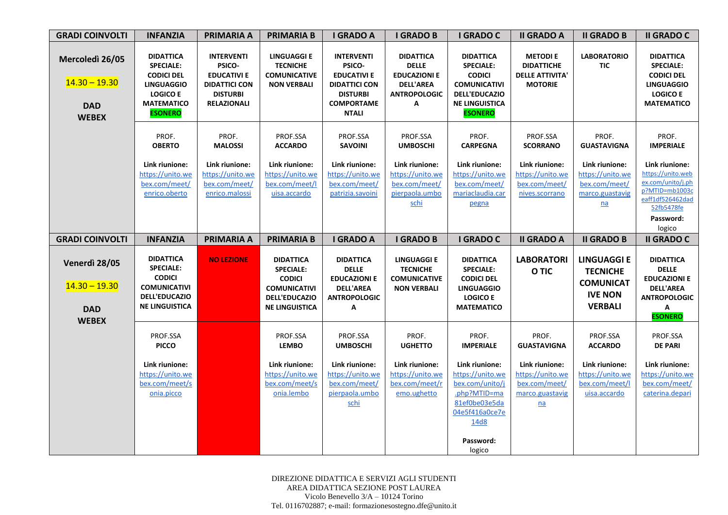| <b>GRADI COINVOLTI</b>                                           | <b>INFANZIA</b>                                                                                                                          | <b>PRIMARIA A</b>                                                                                                  | <b>PRIMARIA B</b>                                                                                                             | <b>I GRADO A</b>                                                                                                                  | <b>I GRADO B</b>                                                                                        | <b>I GRADO C</b>                                                                                                                                | <b>II GRADO A</b>                                                                          | <b>II GRADO B</b>                                                                             | <b>II GRADO C</b>                                                                                                                   |
|------------------------------------------------------------------|------------------------------------------------------------------------------------------------------------------------------------------|--------------------------------------------------------------------------------------------------------------------|-------------------------------------------------------------------------------------------------------------------------------|-----------------------------------------------------------------------------------------------------------------------------------|---------------------------------------------------------------------------------------------------------|-------------------------------------------------------------------------------------------------------------------------------------------------|--------------------------------------------------------------------------------------------|-----------------------------------------------------------------------------------------------|-------------------------------------------------------------------------------------------------------------------------------------|
| Mercoledì 26/05<br>$14.30 - 19.30$<br><b>DAD</b><br><b>WEBEX</b> | <b>DIDATTICA</b><br><b>SPECIALE:</b><br><b>CODICI DEL</b><br><b>LINGUAGGIO</b><br><b>LOGICO E</b><br><b>MATEMATICO</b><br><b>ESONERO</b> | <b>INTERVENTI</b><br>PSICO-<br><b>EDUCATIVI E</b><br><b>DIDATTICI CON</b><br><b>DISTURBI</b><br><b>RELAZIONALI</b> | <b>LINGUAGGI E</b><br><b>TECNICHE</b><br><b>COMUNICATIVE</b><br><b>NON VERBALI</b>                                            | <b>INTERVENTI</b><br>PSICO-<br><b>EDUCATIVI E</b><br><b>DIDATTICI CON</b><br><b>DISTURBI</b><br><b>COMPORTAME</b><br><b>NTALI</b> | <b>DIDATTICA</b><br><b>DELLE</b><br><b>EDUCAZIONI E</b><br><b>DELL'AREA</b><br><b>ANTROPOLOGIC</b><br>Α | <b>DIDATTICA</b><br><b>SPECIALE:</b><br><b>CODICI</b><br><b>COMUNICATIVI</b><br><b>DELL'EDUCAZIO</b><br><b>NE LINGUISTICA</b><br><b>ESONERO</b> | <b>METODIE</b><br><b>DIDATTICHE</b><br><b>DELLE ATTIVITA'</b><br><b>MOTORIE</b>            | <b>LABORATORIO</b><br>TIC                                                                     | <b>DIDATTICA</b><br><b>SPECIALE:</b><br><b>CODICI DEL</b><br><b>LINGUAGGIO</b><br><b>LOGICO E</b><br><b>MATEMATICO</b>              |
|                                                                  | PROF.<br><b>OBERTO</b>                                                                                                                   | PROF.<br><b>MALOSSI</b>                                                                                            | PROF.SSA<br><b>ACCARDO</b>                                                                                                    | PROF.SSA<br><b>SAVOINI</b>                                                                                                        | PROF.SSA<br><b>UMBOSCHI</b>                                                                             | PROF.<br><b>CARPEGNA</b>                                                                                                                        | PROF.SSA<br><b>SCORRANO</b>                                                                | PROF.<br><b>GUASTAVIGNA</b>                                                                   | PROF.<br><b>IMPERIALE</b>                                                                                                           |
|                                                                  | Link riunione:<br>https://unito.we<br>bex.com/meet/<br>enrico.oberto                                                                     | Link riunione:<br>https://unito.we<br>bex.com/meet/<br>enrico.malossi                                              | Link riunione:<br>https://unito.we<br>bex.com/meet/I<br>uisa.accardo                                                          | Link riunione:<br>https://unito.we<br>bex.com/meet/<br>patrizia.savoini                                                           | Link riunione:<br>https://unito.we<br>bex.com/meet/<br>pierpaola.umbo<br>schi                           | Link riunione:<br>https://unito.we<br>bex.com/meet/<br>mariaclaudia.car<br>pegna                                                                | Link riunione:<br>https://unito.we<br>bex.com/meet/<br>nives.scorrano                      | Link riunione:<br>https://unito.we<br>bex.com/meet/<br>marco.guastavig<br>na                  | Link riunione:<br>https://unito.web<br>ex.com/unito/j.ph<br>p?MTID=mb1003c<br>eaff1df526462dad<br>52fb5478fe<br>Password:<br>logico |
| <b>GRADI COINVOLTI</b>                                           | <b>INFANZIA</b>                                                                                                                          | <b>PRIMARIA A</b>                                                                                                  | <b>PRIMARIA B</b>                                                                                                             | <b>I GRADO A</b>                                                                                                                  | <b>I GRADO B</b>                                                                                        | I GRADO C                                                                                                                                       | <b>II GRADO A</b>                                                                          | <b>II GRADO B</b>                                                                             | <b>II GRADO C</b>                                                                                                                   |
| Venerdì 28/05<br>$14.30 - 19.30$<br><b>DAD</b><br><b>WEBEX</b>   | <b>DIDATTICA</b><br><b>SPECIALE:</b><br><b>CODICI</b><br><b>COMUNICATIVI</b><br><b>DELL'EDUCAZIO</b><br><b>NE LINGUISTICA</b>            | <b>NO LEZIONE</b>                                                                                                  | <b>DIDATTICA</b><br><b>SPECIALE:</b><br><b>CODICI</b><br><b>COMUNICATIVI</b><br><b>DELL'EDUCAZIO</b><br><b>NE LINGUISTICA</b> | <b>DIDATTICA</b><br>delle<br><b>EDUCAZIONI E</b><br><b>DELL'AREA</b><br><b>ANTROPOLOGIC</b><br>А                                  | <b>LINGUAGGI E</b><br><b>TECNICHE</b><br><b>COMUNICATIVE</b><br><b>NON VERBALI</b>                      | <b>DIDATTICA</b><br><b>SPECIALE:</b><br><b>CODICI DEL</b><br><b>LINGUAGGIO</b><br><b>LOGICO E</b><br><b>MATEMATICO</b>                          | <b>LABORATORI</b><br>O TIC                                                                 | <b>LINGUAGGI E</b><br><b>TECNICHE</b><br><b>COMUNICAT</b><br><b>IVE NON</b><br><b>VERBALI</b> | <b>DIDATTICA</b><br><b>DELLE</b><br><b>EDUCAZIONI E</b><br><b>DELL'AREA</b><br><b>ANTROPOLOGIC</b><br>Α<br><b>ESONERO</b>           |
|                                                                  | PROF.SSA<br><b>PICCO</b>                                                                                                                 |                                                                                                                    | PROF.SSA<br><b>LEMBO</b>                                                                                                      | PROF.SSA<br><b>UMBOSCHI</b>                                                                                                       | PROF.<br><b>UGHETTO</b>                                                                                 | PROF.<br><b>IMPERIALE</b>                                                                                                                       | PROF.<br><b>GUASTAVIGNA</b>                                                                | PROF.SSA<br><b>ACCARDO</b>                                                                    | PROF.SSA<br><b>DE PARI</b>                                                                                                          |
|                                                                  | Link riunione:<br>https://unito.we<br>bex.com/meet/s<br>onia.picco                                                                       |                                                                                                                    | Link riunione:<br>https://unito.we<br>bex.com/meet/s<br>onia.lembo                                                            | Link riunione:<br>https://unito.we<br>bex.com/meet/<br>pierpaola.umbo<br>schi                                                     | Link riunione:<br>https://unito.we<br>bex.com/meet/r<br>emo.ughetto                                     | Link riunione:<br>https://unito.we<br>bex.com/unito/j<br>.php?MTID=ma<br>81ef0be03e5da<br>04e5f416a0ce7e<br>14d8<br>Password:<br>logico         | Link riunione:<br>https://unito.we<br>bex.com/meet/<br>marco.guastavig<br>$n\underline{a}$ | Link riunione:<br>https://unito.we<br>bex.com/meet/l<br>uisa.accardo                          | Link riunione:<br>https://unito.we<br>bex.com/meet/<br>caterina.depari                                                              |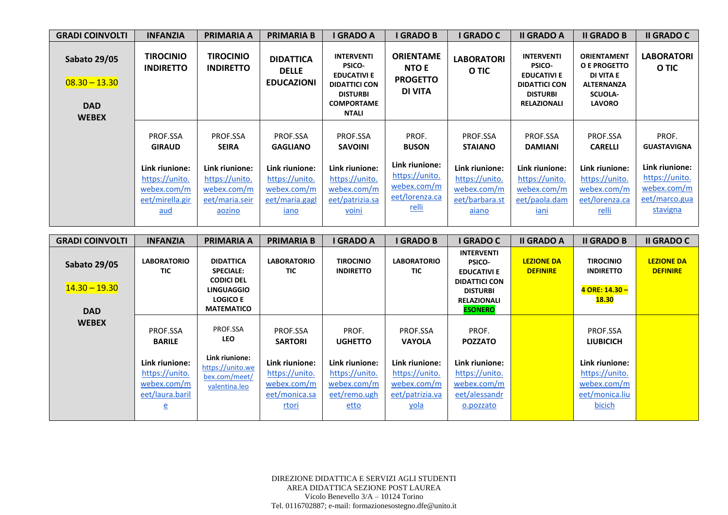| <b>GRADI COINVOLTI</b>                                               | <b>INFANZIA</b>                                                                                        | <b>PRIMARIA A</b>                                                                                       | <b>PRIMARIA B</b>                                                                                               | <b>I GRADO A</b>                                                                                                                         | I GRADO B                                                                                                  | I GRADO C                                                                                                       | <b>II GRADO A</b>                                                                                                         | <b>II GRADO B</b>                                                                                        | <b>II GRADO C</b>                                                                                           |
|----------------------------------------------------------------------|--------------------------------------------------------------------------------------------------------|---------------------------------------------------------------------------------------------------------|-----------------------------------------------------------------------------------------------------------------|------------------------------------------------------------------------------------------------------------------------------------------|------------------------------------------------------------------------------------------------------------|-----------------------------------------------------------------------------------------------------------------|---------------------------------------------------------------------------------------------------------------------------|----------------------------------------------------------------------------------------------------------|-------------------------------------------------------------------------------------------------------------|
| <b>Sabato 29/05</b><br>$08.30 - 13.30$<br><b>DAD</b><br><b>WEBEX</b> | <b>TIROCINIO</b><br><b>INDIRETTO</b>                                                                   | <b>TIROCINIO</b><br><b>INDIRETTO</b>                                                                    | <b>DIDATTICA</b><br><b>DELLE</b><br><b>EDUCAZIONI</b>                                                           | <b>INTERVENTI</b><br><b>PSICO-</b><br><b>EDUCATIVI E</b><br><b>DIDATTICI CON</b><br><b>DISTURBI</b><br><b>COMPORTAME</b><br><b>NTALI</b> | <b>ORIENTAME</b><br><b>NTO E</b><br><b>PROGETTO</b><br>DI VITA                                             | <b>LABORATORI</b><br>O TIC                                                                                      | <b>INTERVENTI</b><br><b>PSICO-</b><br><b>EDUCATIVI E</b><br><b>DIDATTICI CON</b><br><b>DISTURBI</b><br><b>RELAZIONALI</b> | <b>ORIENTAMENT</b><br>O E PROGETTO<br>DI VITA E<br><b>ALTERNANZA</b><br><b>SCUOLA-</b><br><b>LAVORO</b>  | <b>LABORATORI</b><br>O TIC                                                                                  |
|                                                                      | PROF.SSA<br><b>GIRAUD</b><br>Link riunione:<br>https://unito.<br>webex.com/m<br>eet/mirella.gir<br>aud | PROF.SSA<br><b>SEIRA</b><br>Link riunione:<br>https://unito.<br>webex.com/m<br>eet/maria.seir<br>aozino | PROF.SSA<br><b>GAGLIANO</b><br>Link riunione:<br>https://unito.<br>webex.com/m<br>eet/maria.gagl<br><u>iano</u> | PROF.SSA<br><b>SAVOINI</b><br>Link riunione:<br>https://unito.<br>webex.com/m<br>eet/patrizia.sa<br>voini                                | PROF.<br><b>BUSON</b><br>Link riunione:<br>https://unito.<br>webex.com/m<br>eet/lorenza.ca<br><u>relli</u> | PROF.SSA<br><b>STAIANO</b><br>Link riunione:<br>https://unito.<br>webex.com/m<br>eet/barbara.st<br><u>aiano</u> | PROF.SSA<br><b>DAMIANI</b><br>Link riunione:<br>https://unito.<br>webex.com/m<br>eet/paola.dam<br>iani                    | PROF.SSA<br><b>CARELLI</b><br>Link riunione:<br>https://unito.<br>webex.com/m<br>eet/lorenza.ca<br>relli | PROF.<br><b>GUASTAVIGNA</b><br>Link riunione:<br>https://unito.<br>webex.com/m<br>eet/marco.gua<br>stavigna |

| <b>GRADI COINVOLTI</b>                               | <b>INFANZIA</b>                                                                               | <b>PRIMARIA A</b>                                                                                                      | <b>PRIMARIA B</b>                                                                | <b>I GRADO A</b>                                                        | <b>I GRADO B</b>                                                                  | <b>I GRADO C</b>                                                                                                                            | <b>II GRADO A</b>                    | <b>II GRADO B</b>                                                           | <b>II GRADO C</b>                    |
|------------------------------------------------------|-----------------------------------------------------------------------------------------------|------------------------------------------------------------------------------------------------------------------------|----------------------------------------------------------------------------------|-------------------------------------------------------------------------|-----------------------------------------------------------------------------------|---------------------------------------------------------------------------------------------------------------------------------------------|--------------------------------------|-----------------------------------------------------------------------------|--------------------------------------|
| <b>Sabato 29/05</b><br>$14.30 - 19.30$<br><b>DAD</b> | <b>LABORATORIO</b><br>TIC.                                                                    | <b>DIDATTICA</b><br><b>SPECIALE:</b><br><b>CODICI DEL</b><br><b>LINGUAGGIO</b><br><b>LOGICO E</b><br><b>MATEMATICO</b> | <b>LABORATORIO</b><br>TIC                                                        | <b>TIROCINIO</b><br><b>INDIRETTO</b>                                    | <b>LABORATORIO</b><br><b>TIC</b>                                                  | <b>INTERVENTI</b><br><b>PSICO-</b><br><b>EDUCATIVI E</b><br><b>DIDATTICI CON</b><br><b>DISTURBI</b><br><b>RELAZIONALI</b><br><b>ESONERO</b> | <b>LEZIONE DA</b><br><b>DEFINIRE</b> | <b>TIROCINIO</b><br><b>INDIRETTO</b><br>4 ORE: 14.30 -<br><b>18.30</b>      | <b>LEZIONE DA</b><br><b>DEFINIRE</b> |
| <b>WEBEX</b>                                         | PROF.SSA<br><b>BARILE</b>                                                                     | PROF.SSA<br><b>LEO</b>                                                                                                 | PROF.SSA<br><b>SARTORI</b>                                                       | PROF.<br><b>UGHETTO</b>                                                 | PROF.SSA<br><b>VAYOLA</b>                                                         | PROF.<br><b>POZZATO</b>                                                                                                                     |                                      | PROF.SSA<br><b>LIUBICICH</b>                                                |                                      |
|                                                      | Link riunione:<br>https://unito.<br>webex.com/m<br>eet/laura.baril<br>$\overline{\mathsf{e}}$ | Link riunione:<br>https://unito.we<br>bex.com/meet/<br>valentina.leo                                                   | Link riunione:<br>https://unito.<br>webex.com/m<br>eet/monica.sa<br><u>rtori</u> | Link riunione:<br>https://unito.<br>webex.com/m<br>eet/remo.ugh<br>etto | Link riunione:<br>https://unito.<br>webex.com/m<br>eet/patrizia.va<br><u>yola</u> | Link riunione:<br>https://unito.<br>webex.com/m<br>eet/alessandr<br>o.pozzato                                                               |                                      | Link riunione:<br>https://unito.<br>webex.com/m<br>eet/monica.liu<br>bicich |                                      |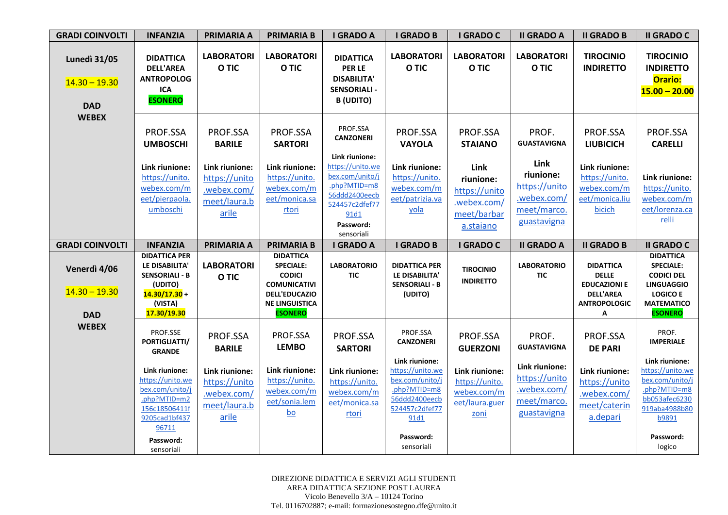| <b>GRADI COINVOLTI</b>                               | <b>INFANZIA</b>                                                                                                                                                | <b>PRIMARIA A</b>                                                                                    | <b>PRIMARIA B</b>                                                                                                                               | <b>I GRADO A</b>                                                                                                                            | <b>I GRADO B</b>                                                                                                                                 | I GRADO C                                                                                                | <b>II GRADO A</b>                                                                                           | <b>II GRADO B</b>                                                                                        | <b>II GRADO C</b>                                                                                                                             |
|------------------------------------------------------|----------------------------------------------------------------------------------------------------------------------------------------------------------------|------------------------------------------------------------------------------------------------------|-------------------------------------------------------------------------------------------------------------------------------------------------|---------------------------------------------------------------------------------------------------------------------------------------------|--------------------------------------------------------------------------------------------------------------------------------------------------|----------------------------------------------------------------------------------------------------------|-------------------------------------------------------------------------------------------------------------|----------------------------------------------------------------------------------------------------------|-----------------------------------------------------------------------------------------------------------------------------------------------|
| <b>Lunedì 31/05</b><br>$14.30 - 19.30$<br><b>DAD</b> | <b>DIDATTICA</b><br><b>DELL'AREA</b><br><b>ANTROPOLOG</b><br><b>ICA</b><br><b>ESONERO</b>                                                                      | <b>LABORATORI</b><br>O TIC                                                                           | <b>LABORATORI</b><br>O TIC                                                                                                                      | <b>DIDATTICA</b><br>PER LE<br><b>DISABILITA'</b><br><b>SENSORIALI -</b><br><b>B</b> (UDITO)                                                 | <b>LABORATORI</b><br>O TIC                                                                                                                       | <b>LABORATORI</b><br>O TIC                                                                               | <b>LABORATORI</b><br>O TIC                                                                                  | <b>TIROCINIO</b><br><b>INDIRETTO</b>                                                                     | <b>TIROCINIO</b><br><b>INDIRETTO</b><br>Orario:<br>$15.00 - 20.00$                                                                            |
| <b>WEBEX</b>                                         | PROF.SSA<br><b>UMBOSCHI</b>                                                                                                                                    | PROF.SSA<br><b>BARILE</b>                                                                            | PROF.SSA<br><b>SARTORI</b>                                                                                                                      | PROF.SSA<br><b>CANZONERI</b>                                                                                                                | PROF.SSA<br><b>VAYOLA</b>                                                                                                                        | PROF.SSA<br><b>STAIANO</b>                                                                               | PROF.<br><b>GUASTAVIGNA</b>                                                                                 | PROF.SSA<br><b>LIUBICICH</b>                                                                             | PROF.SSA<br><b>CARELLI</b>                                                                                                                    |
|                                                      | Link riunione:<br>https://unito.<br>webex.com/m<br>eet/pierpaola.<br>umboschi                                                                                  | Link riunione:<br>https://unito<br>.webex.com/<br>meet/laura.b<br>arile                              | Link riunione:<br>https://unito.<br>webex.com/m<br>eet/monica.sa<br>rtori                                                                       | Link riunione:<br>https://unito.we<br>bex.com/unito/j<br>.php?MTID=m8<br>56ddd2400eecb<br>524457c2dfef77<br>91d1<br>Password:<br>sensoriali | Link riunione:<br>https://unito.<br>webex.com/m<br>eet/patrizia.va<br>yola                                                                       | Link<br>riunione:<br>https://unito<br>.webex.com/<br>meet/barbar<br>a.staiano                            | Link<br>riunione:<br>https://unito<br>.webex.com/<br>meet/marco.<br>guastavigna                             | Link riunione:<br>https://unito.<br>webex.com/m<br>eet/monica.liu<br>bicich                              | Link riunione:<br>https://unito.<br>webex.com/m<br>eet/lorenza.ca<br>relli                                                                    |
| <b>GRADI COINVOLTI</b>                               | <b>INFANZIA</b>                                                                                                                                                | <b>PRIMARIA A</b>                                                                                    | <b>PRIMARIA B</b>                                                                                                                               | I GRADO A                                                                                                                                   | <b>I GRADO B</b>                                                                                                                                 | I GRADO C                                                                                                | <b>II GRADO A</b>                                                                                           | <b>II GRADO B</b>                                                                                        | <b>II GRADO C</b>                                                                                                                             |
| Venerdì 4/06<br>$14.30 - 19.30$<br><b>DAD</b>        | <b>DIDATTICA PER</b><br>LE DISABILITA'<br><b>SENSORIALI - B</b><br>(UDITO)<br>$14.30/17.30 +$<br>(VISTA)<br>17.30/19.30                                        | <b>LABORATORI</b><br>O TIC                                                                           | <b>DIDATTICA</b><br><b>SPECIALE:</b><br><b>CODICI</b><br><b>COMUNICATIVI</b><br><b>DELL'EDUCAZIO</b><br><b>NE LINGUISTICA</b><br><b>ESONERO</b> | <b>LABORATORIO</b><br><b>TIC</b>                                                                                                            | <b>DIDATTICA PER</b><br>LE DISABILITA'<br><b>SENSORIALI - B</b><br>(UDITO)                                                                       | <b>TIROCINIO</b><br><b>INDIRETTO</b>                                                                     | <b>LABORATORIO</b><br><b>TIC</b>                                                                            | <b>DIDATTICA</b><br><b>DELLE</b><br><b>EDUCAZIONI E</b><br><b>DELL'AREA</b><br><b>ANTROPOLOGIC</b><br>A  | <b>DIDATTICA</b><br><b>SPECIALE:</b><br><b>CODICI DEL</b><br><b>LINGUAGGIO</b><br><b>LOGICO E</b><br><b>MATEMATICO</b><br><b>ESONERO</b>      |
| <b>WEBEX</b>                                         | PROF.SSE<br>PORTIGLIATTI/<br><b>GRANDE</b><br>Link riunione:<br>https://unito.we<br>bex.com/unito/j<br>.php?MTID=m2<br>156c18506411f<br>9205cad1bf437<br>96711 | PROF.SSA<br><b>BARILE</b><br>Link riunione:<br>https://unito<br>.webex.com/<br>meet/laura.b<br>arile | PROF.SSA<br><b>LEMBO</b><br>Link riunione:<br>https://unito.<br>webex.com/m<br>eet/sonia.lem<br>$\underline{bo}$                                | PROF.SSA<br><b>SARTORI</b><br>Link riunione:<br>https://unito.<br>webex.com/m<br>eet/monica.sa<br>rtori                                     | PROF.SSA<br><b>CANZONERI</b><br>Link riunione:<br>https://unito.we<br>bex.com/unito/j<br>.php?MTID=m8<br>56ddd2400eecb<br>524457c2dfef77<br>91d1 | PROF.SSA<br><b>GUERZONI</b><br>Link riunione:<br>https://unito.<br>webex.com/m<br>eet/laura.guer<br>zoni | PROF.<br><b>GUASTAVIGNA</b><br>Link riunione:<br>https://unito<br>.webex.com/<br>meet/marco.<br>guastavigna | PROF.SSA<br><b>DE PARI</b><br>Link riunione:<br>https://unito<br>.webex.com/<br>meet/caterin<br>a.depari | PROF.<br><b>IMPERIALE</b><br>Link riunione:<br>https://unito.we<br>bex.com/unito/j<br>.php?MTID=m8<br>bb053afec6230<br>919aba4988b80<br>b9891 |
|                                                      | Password:<br>sensoriali                                                                                                                                        |                                                                                                      |                                                                                                                                                 |                                                                                                                                             | Password:<br>sensoriali                                                                                                                          |                                                                                                          |                                                                                                             |                                                                                                          | Password:<br>logico                                                                                                                           |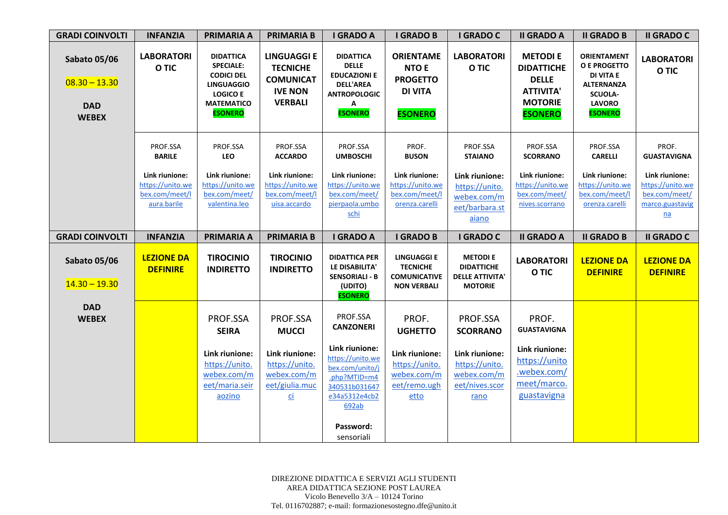| <b>GRADI COINVOLTI</b>                                               | <b>INFANZIA</b>                                                     | <b>PRIMARIA A</b>                                                                                                                        | <b>PRIMARIA B</b>                                                                             | <b>I GRADO A</b>                                                                                                                            | <b>I GRADO B</b>                                                                        | <b>I GRADO C</b>                                                                 | <b>II GRADO A</b>                                                                                           | <b>II GRADO B</b>                                                                                                                | <b>II GRADO C</b>                                                                          |
|----------------------------------------------------------------------|---------------------------------------------------------------------|------------------------------------------------------------------------------------------------------------------------------------------|-----------------------------------------------------------------------------------------------|---------------------------------------------------------------------------------------------------------------------------------------------|-----------------------------------------------------------------------------------------|----------------------------------------------------------------------------------|-------------------------------------------------------------------------------------------------------------|----------------------------------------------------------------------------------------------------------------------------------|--------------------------------------------------------------------------------------------|
| <b>Sabato 05/06</b><br>$08.30 - 13.30$<br><b>DAD</b><br><b>WEBEX</b> | <b>LABORATORI</b><br>O TIC                                          | <b>DIDATTICA</b><br><b>SPECIALE:</b><br><b>CODICI DEL</b><br><b>LINGUAGGIO</b><br><b>LOGICO E</b><br><b>MATEMATICO</b><br><b>ESONERO</b> | <b>LINGUAGGI E</b><br><b>TECNICHE</b><br><b>COMUNICAT</b><br><b>IVE NON</b><br><b>VERBALI</b> | <b>DIDATTICA</b><br><b>DELLE</b><br><b>EDUCAZIONI E</b><br><b>DELL'AREA</b><br><b>ANTROPOLOGIC</b><br>Α<br><b>ESONERO</b>                   | <b>ORIENTAME</b><br><b>NTO E</b><br><b>PROGETTO</b><br><b>DI VITA</b><br><b>ESONERO</b> | <b>LABORATORI</b><br>O TIC                                                       | <b>METODIE</b><br><b>DIDATTICHE</b><br><b>DELLE</b><br><b>ATTIVITA'</b><br><b>MOTORIE</b><br><b>ESONERO</b> | <b>ORIENTAMENT</b><br>O E PROGETTO<br><b>DI VITA E</b><br><b>ALTERNANZA</b><br><b>SCUOLA-</b><br><b>LAVORO</b><br><b>ESONERO</b> | <b>LABORATORI</b><br>O TIC                                                                 |
|                                                                      | PROF.SSA<br><b>BARILE</b>                                           | PROF.SSA<br><b>LEO</b>                                                                                                                   | PROF.SSA<br><b>ACCARDO</b>                                                                    | PROF.SSA<br><b>UMBOSCHI</b>                                                                                                                 | PROF.<br><b>BUSON</b>                                                                   | PROF.SSA<br><b>STAIANO</b>                                                       | PROF.SSA<br><b>SCORRANO</b>                                                                                 | PROF.SSA<br><b>CARELLI</b>                                                                                                       | PROF.<br><b>GUASTAVIGNA</b>                                                                |
|                                                                      | Link riunione:<br>https://unito.we<br>bex.com/meet/l<br>aura.barile | Link riunione:<br>https://unito.we<br>bex.com/meet/<br>valentina.leo                                                                     | Link riunione:<br>https://unito.we<br>bex.com/meet/l<br>uisa.accardo                          | Link riunione:<br>https://unito.we<br>bex.com/meet/<br>pierpaola.umbo<br>schi                                                               | Link riunione:<br>https://unito.we<br>bex.com/meet/l<br>orenza.carelli                  | Link riunione:<br>https://unito.<br>webex.com/m<br>eet/barbara.st<br>aiano       | Link riunione:<br>https://unito.we<br>bex.com/meet/<br>nives.scorrano                                       | Link riunione:<br>https://unito.we<br>bex.com/meet/l<br>orenza.carelli                                                           | Link riunione:<br>https://unito.we<br>bex.com/meet/<br>marco.guastavig<br>$n\underline{a}$ |
| <b>GRADI COINVOLTI</b>                                               | <b>INFANZIA</b>                                                     | <b>PRIMARIA A</b>                                                                                                                        | <b>PRIMARIA B</b>                                                                             | <b>I GRADO A</b>                                                                                                                            | <b>I GRADO B</b>                                                                        | I GRADO C                                                                        | <b>II GRADO A</b>                                                                                           | <b>II GRADO B</b>                                                                                                                | <b>II GRADO C</b>                                                                          |
| <b>Sabato 05/06</b><br>$14.30 - 19.30$                               | <b>LEZIONE DA</b><br><b>DEFINIRE</b>                                | <b>TIROCINIO</b><br><b>INDIRETTO</b>                                                                                                     | <b>TIROCINIO</b><br><b>INDIRETTO</b>                                                          | <b>DIDATTICA PER</b><br>LE DISABILITA'<br><b>SENSORIALI - B</b><br>(UDITO)<br><b>ESONERO</b>                                                | <b>LINGUAGGI E</b><br><b>TECNICHE</b><br><b>COMUNICATIVE</b><br><b>NON VERBALI</b>      | <b>METODI E</b><br><b>DIDATTICHE</b><br><b>DELLE ATTIVITA'</b><br><b>MOTORIE</b> | <b>LABORATORI</b><br>O TIC                                                                                  | <b>LEZIONE DA</b><br><b>DEFINIRE</b>                                                                                             | <b>LEZIONE DA</b><br><b>DEFINIRE</b>                                                       |
| <b>DAD</b><br><b>WEBEX</b>                                           |                                                                     | PROF.SSA<br><b>SEIRA</b>                                                                                                                 | PROF.SSA<br><b>MUCCI</b>                                                                      | PROF.SSA<br><b>CANZONERI</b>                                                                                                                | PROF.<br><b>UGHETTO</b>                                                                 | PROF.SSA<br><b>SCORRANO</b>                                                      | PROF.<br><b>GUASTAVIGNA</b>                                                                                 |                                                                                                                                  |                                                                                            |
|                                                                      |                                                                     | Link riunione:<br>https://unito.<br>webex.com/m<br>eet/maria.seir<br>aozino                                                              | Link riunione:<br>https://unito.<br>webex.com/m<br>eet/giulia.muc<br><u>ci</u>                | Link riunione:<br>https://unito.we<br>bex.com/unito/j<br>.php?MTID=m4<br>340531b031647<br>e34a5312e4cb2<br>692ab<br>Password:<br>sensoriali | Link riunione:<br>https://unito.<br>webex.com/m<br>eet/remo.ugh<br>etto                 | Link riunione:<br>https://unito.<br>webex.com/m<br>eet/nives.scor<br>rano        | Link riunione:<br>https://unito<br>.webex.com/<br>meet/marco.<br>guastavigna                                |                                                                                                                                  |                                                                                            |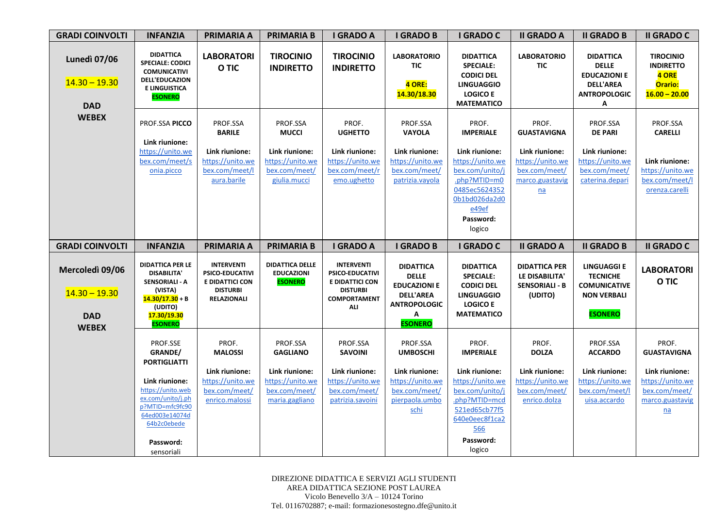| <b>GRADI COINVOLTI</b>                               | <b>INFANZIA</b>                                                                                                                                                              | <b>PRIMARIA A</b>                                                                                              | <b>PRIMARIA B</b>                                                                                    | <b>I GRADO A</b>                                                                                                | <b>I GRADO B</b>                                                                                                                     | <b>I GRADO C</b>                                                                                                                              | <b>II GRADO A</b>                                                                            | <b>II GRADO B</b>                                                                                       | <b>II GRADO C</b>                                                                                                         |
|------------------------------------------------------|------------------------------------------------------------------------------------------------------------------------------------------------------------------------------|----------------------------------------------------------------------------------------------------------------|------------------------------------------------------------------------------------------------------|-----------------------------------------------------------------------------------------------------------------|--------------------------------------------------------------------------------------------------------------------------------------|-----------------------------------------------------------------------------------------------------------------------------------------------|----------------------------------------------------------------------------------------------|---------------------------------------------------------------------------------------------------------|---------------------------------------------------------------------------------------------------------------------------|
| <b>Lunedì 07/06</b><br>$14.30 - 19.30$<br><b>DAD</b> | <b>DIDATTICA</b><br><b>SPECIALE: CODICI</b><br><b>COMUNICATIVI</b><br><b>DELL'EDUCAZION</b><br><b>E LINGUISTICA</b><br><b>ESONERO</b>                                        | <b>LABORATORI</b><br>O TIC                                                                                     | <b>TIROCINIO</b><br><b>INDIRETTO</b>                                                                 | <b>TIROCINIO</b><br><b>INDIRETTO</b>                                                                            | <b>LABORATORIO</b><br><b>TIC</b><br>4 ORE:<br>14.30/18.30                                                                            | <b>DIDATTICA</b><br><b>SPECIALE:</b><br><b>CODICI DEL</b><br><b>LINGUAGGIO</b><br><b>LOGICO E</b><br><b>MATEMATICO</b>                        | <b>LABORATORIO</b><br>TIC                                                                    | <b>DIDATTICA</b><br><b>DELLE</b><br><b>EDUCAZIONI E</b><br><b>DELL'AREA</b><br><b>ANTROPOLOGIC</b><br>Α | <b>TIROCINIO</b><br><b>INDIRETTO</b><br>4 ORE<br>Orario:<br>$16.00 - 20.00$                                               |
| <b>WEBEX</b>                                         | PROF.SSA PICCO                                                                                                                                                               | PROF.SSA<br><b>BARILE</b>                                                                                      | PROF.SSA<br><b>MUCCI</b>                                                                             | PROF.<br><b>UGHETTO</b>                                                                                         | PROF.SSA<br><b>VAYOLA</b>                                                                                                            | PROF.<br><b>IMPERIALE</b>                                                                                                                     | PROF.<br><b>GUASTAVIGNA</b>                                                                  | PROF.SSA<br><b>DE PARI</b>                                                                              | PROF.SSA<br><b>CARELLI</b>                                                                                                |
|                                                      | Link riunione:<br>https://unito.we<br>bex.com/meet/s<br>onia.picco                                                                                                           | Link riunione:<br>https://unito.we<br>bex.com/meet/l<br>aura.barile                                            | Link riunione:<br>https://unito.we<br>bex.com/meet/<br>giulia.mucci                                  | Link riunione:<br>https://unito.we<br>bex.com/meet/r<br>emo.ughetto                                             | Link riunione:<br>https://unito.we<br>bex.com/meet/<br>patrizia.vayola                                                               | Link riunione:<br>https://unito.we<br>bex.com/unito/j<br>.php?MTID=m0<br>0485ec5624352<br>0b1bd026da2d0<br>e49ef<br>Password:<br>logico       | Link riunione:<br>https://unito.we<br>bex.com/meet/<br>marco.guastavig<br>$n\underline{a}$   | Link riunione:<br>https://unito.we<br>bex.com/meet/<br>caterina.depari                                  | Link riunione:<br>https://unito.we<br>bex.com/meet/l<br>orenza.carelli                                                    |
| <b>GRADI COINVOLTI</b>                               | <b>INFANZIA</b>                                                                                                                                                              | <b>PRIMARIA A</b>                                                                                              | <b>PRIMARIA B</b>                                                                                    | <b>I GRADO A</b>                                                                                                | <b>I GRADO B</b>                                                                                                                     | <b>I GRADO C</b>                                                                                                                              | <b>II GRADO A</b>                                                                            | <b>II GRADO B</b>                                                                                       | <b>II GRADO C</b>                                                                                                         |
| Mercoledì 09/06<br>$14.30 - 19.30$<br><b>DAD</b>     | <b>DIDATTICA PER LE</b><br><b>DISABILITA'</b><br>SENSORIALI - A<br>(VISTA)<br>$14.30/17.30 + B$<br>(UDITO)<br>17.30/19.30                                                    | <b>INTERVENTI</b><br><b>PSICO-EDUCATIVI</b><br><b>E DIDATTICI CON</b><br><b>DISTURBI</b><br><b>RELAZIONALI</b> | <b>DIDATTICA DELLE</b><br><b>EDUCAZIONI</b><br><b>ESONERO</b>                                        | <b>INTERVENTI</b><br>PSICO-EDUCATIVI<br><b>E DIDATTICI CON</b><br><b>DISTURBI</b><br><b>COMPORTAMENT</b><br>ALI | <b>DIDATTICA</b><br><b>DELLE</b><br><b>EDUCAZIONI E</b><br><b>DELL'AREA</b><br><b>ANTROPOLOGIC</b><br>$\mathsf{A}$<br><b>ESONERO</b> | <b>DIDATTICA</b><br><b>SPECIALE:</b><br><b>CODICI DEL</b><br><b>LINGUAGGIO</b><br><b>LOGICO E</b><br><b>MATEMATICO</b>                        | <b>DIDATTICA PER</b><br>LE DISABILITA'<br><b>SENSORIALI - B</b><br>(UDITO)                   | <b>LINGUAGGI E</b><br><b>TECNICHE</b><br><b>COMUNICATIVE</b><br><b>NON VERBALI</b><br><b>ESONERO</b>    | <b>LABORATORI</b><br>O TIC                                                                                                |
| <b>WEBEX</b>                                         | <b>ESONERO</b><br>PROF.SSE<br>GRANDE/<br><b>PORTIGLIATTI</b><br>Link riunione:<br>https://unito.web<br>ex.com/unito/j.ph<br>p?MTID=mfc9fc90<br>64ed003e14074d<br>64b2c0ebede | PROF.<br><b>MALOSSI</b><br>Link riunione:<br>https://unito.we<br>bex.com/meet/<br>enrico.malossi               | PROF.SSA<br><b>GAGLIANO</b><br>Link riunione:<br>https://unito.we<br>bex.com/meet/<br>maria.gagliano | PROF.SSA<br><b>SAVOINI</b><br>Link riunione:<br>https://unito.we<br>bex.com/meet/<br>patrizia.savoini           | PROF.SSA<br><b>UMBOSCHI</b><br>Link riunione:<br>https://unito.we<br>bex.com/meet/<br>pierpaola.umbo<br>schi                         | PROF.<br><b>IMPERIALE</b><br>Link riunione:<br>https://unito.we<br>bex.com/unito/j<br>.php?MTID=mcd<br>521ed65cb77f5<br>640e0eec8f1ca2<br>566 | PROF.<br><b>DOLZA</b><br>Link riunione:<br>https://unito.we<br>bex.com/meet/<br>enrico.dolza | PROF.SSA<br><b>ACCARDO</b><br>Link riunione:<br>https://unito.we<br>bex.com/meet/l<br>uisa.accardo      | PROF.<br><b>GUASTAVIGNA</b><br>Link riunione:<br>https://unito.we<br>bex.com/meet/<br>marco.guastavig<br>$n\underline{a}$ |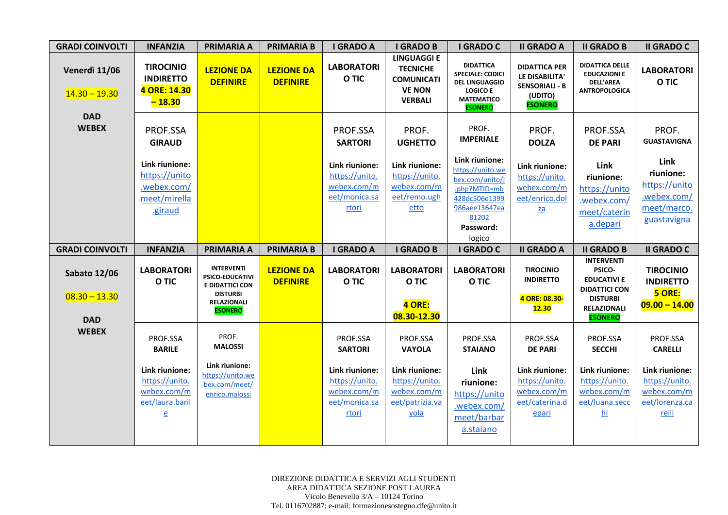| <b>GRADI COINVOLTI</b>                               | <b>INFANZIA</b>                                                           | <b>PRIMARIA A</b>                                                                                                  | <b>PRIMARIA B</b>                    | <b>I GRADO A</b>                                                          | <b>I GRADO B</b>                                                                              | <b>I GRADO C</b>                                                                                                                        | <b>II GRADO A</b>                                                                              | <b>II GRADO B</b>                                                                                                                    | <b>II GRADO C</b>                                                               |
|------------------------------------------------------|---------------------------------------------------------------------------|--------------------------------------------------------------------------------------------------------------------|--------------------------------------|---------------------------------------------------------------------------|-----------------------------------------------------------------------------------------------|-----------------------------------------------------------------------------------------------------------------------------------------|------------------------------------------------------------------------------------------------|--------------------------------------------------------------------------------------------------------------------------------------|---------------------------------------------------------------------------------|
| Venerdì 11/06<br>$14.30 - 19.30$                     | <b>TIROCINIO</b><br><b>INDIRETTO</b><br>4 ORE: 14.30<br>$-18.30$          | <b>LEZIONE DA</b><br><b>DEFINIRE</b>                                                                               | <b>LEZIONE DA</b><br><b>DEFINIRE</b> | <b>LABORATORI</b><br>O TIC                                                | <b>LINGUAGGI E</b><br><b>TECNICHE</b><br><b>COMUNICATI</b><br><b>VE NON</b><br><b>VERBALI</b> | <b>DIDATTICA</b><br><b>SPECIALE: CODICI</b><br><b>DEL LINGUAGGIO</b><br><b>LOGICO E</b><br><b>MATEMATICO</b><br><b>ESONERO</b>          | <b>DIDATTICA PER</b><br>LE DISABILITA'<br><b>SENSORIALI - B</b><br>(UDITO)<br><b>ESONERO</b>   | <b>DIDATTICA DELLE</b><br><b>EDUCAZIONI E</b><br><b>DELL'AREA</b><br><b>ANTROPOLOGICA</b>                                            | <b>LABORATORI</b><br>O TIC                                                      |
| <b>DAD</b><br><b>WEBEX</b>                           | PROF.SSA<br><b>GIRAUD</b>                                                 |                                                                                                                    |                                      | PROF.SSA<br><b>SARTORI</b>                                                | PROF.<br><b>UGHETTO</b>                                                                       | PROF.<br><b>IMPERIALE</b>                                                                                                               | PROF.<br><b>DOLZA</b>                                                                          | PROF.SSA<br><b>DE PARI</b>                                                                                                           | PROF.<br><b>GUASTAVIGNA</b>                                                     |
|                                                      | Link riunione:<br>https://unito<br>.webex.com/<br>meet/mirella<br>.giraud |                                                                                                                    |                                      | Link riunione:<br>https://unito.<br>webex.com/m<br>eet/monica.sa<br>rtori | Link riunione:<br>https://unito.<br>webex.com/m<br>eet/remo.ugh<br>etto                       | Link riunione:<br>https://unito.we<br>bex.com/unito/j<br>.php?MTID=mb<br>428dc506e1399<br>986aee13647ea<br>81202<br>Password:<br>logico | Link riunione:<br>https://unito.<br>webex.com/m<br>eet/enrico.dol<br>$\underline{\mathsf{za}}$ | Link<br>riunione:<br>https://unito<br>.webex.com/<br>meet/caterin<br>a.depari                                                        | Link<br>riunione:<br>https://unito<br>.webex.com/<br>meet/marco.<br>guastavigna |
| <b>GRADI COINVOLTI</b>                               | <b>INFANZIA</b>                                                           | <b>PRIMARIA A</b>                                                                                                  | <b>PRIMARIA B</b>                    | <b>I GRADO A</b>                                                          | <b>I GRADO B</b>                                                                              |                                                                                                                                         |                                                                                                |                                                                                                                                      |                                                                                 |
|                                                      |                                                                           |                                                                                                                    |                                      |                                                                           |                                                                                               | I GRADO C                                                                                                                               | <b>II GRADO A</b>                                                                              | <b>II GRADO B</b>                                                                                                                    | <b>II GRADO C</b>                                                               |
| <b>Sabato 12/06</b><br>$08.30 - 13.30$<br><b>DAD</b> | <b>LABORATORI</b><br>O TIC                                                | <b>INTERVENTI</b><br>PSICO-EDUCATIVI<br>E DIDATTICI CON<br><b>DISTURBI</b><br><b>RELAZIONALI</b><br><b>ESONERO</b> | <b>LEZIONE DA</b><br><b>DEFINIRE</b> | <b>LABORATORI</b><br>O TIC                                                | <b>LABORATORI</b><br>O TIC<br>4 ORE:<br>08.30-12.30                                           | <b>LABORATORI</b><br>O TIC                                                                                                              | <b>TIROCINIO</b><br><b>INDIRETTO</b><br>4 ORE: 08.30-<br><b>12.30</b>                          | <b>INTERVENTI</b><br>PSICO-<br><b>EDUCATIVI E</b><br><b>DIDATTICI CON</b><br><b>DISTURBI</b><br><b>RELAZIONALI</b><br><b>ESONERO</b> | <b>TIROCINIO</b><br><b>INDIRETTO</b><br>5 ORE:<br>$09.00 - 14.00$               |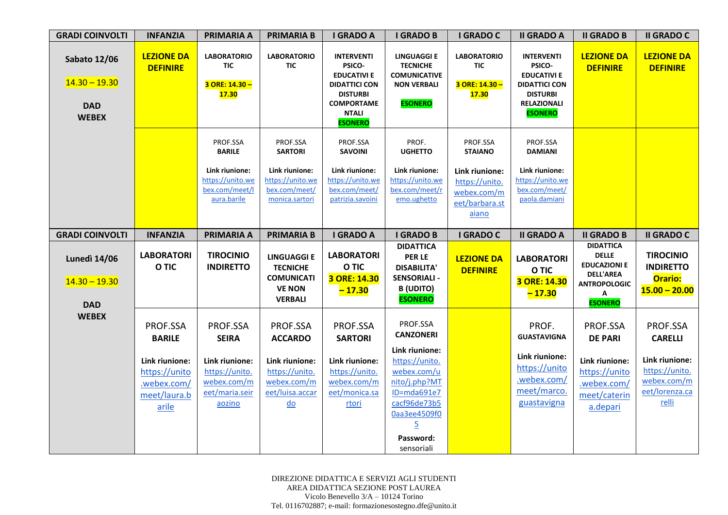| <b>GRADI COINVOLTI</b>                                               | <b>INFANZIA</b>                                                                                      | <b>PRIMARIA A</b>                                                                                       | <b>PRIMARIA B</b>                                                                                                             | <b>I GRADO A</b>                                                                                                                                    | <b>I GRADO B</b>                                                                                                                                                                             | I GRADO C                                                                  | <b>II GRADO A</b>                                                                                                                    | <b>II GRADO B</b>                                                                                                         | <b>II GRADO C</b>                                                                                        |
|----------------------------------------------------------------------|------------------------------------------------------------------------------------------------------|---------------------------------------------------------------------------------------------------------|-------------------------------------------------------------------------------------------------------------------------------|-----------------------------------------------------------------------------------------------------------------------------------------------------|----------------------------------------------------------------------------------------------------------------------------------------------------------------------------------------------|----------------------------------------------------------------------------|--------------------------------------------------------------------------------------------------------------------------------------|---------------------------------------------------------------------------------------------------------------------------|----------------------------------------------------------------------------------------------------------|
| <b>Sabato 12/06</b><br>$14.30 - 19.30$<br><b>DAD</b><br><b>WEBEX</b> | <b>LEZIONE DA</b><br><b>DEFINIRE</b>                                                                 | <b>LABORATORIO</b><br>TIC<br>3 ORE: 14.30 -<br><b>17.30</b>                                             | <b>LABORATORIO</b><br><b>TIC</b>                                                                                              | <b>INTERVENTI</b><br>PSICO-<br><b>EDUCATIVI E</b><br><b>DIDATTICI CON</b><br><b>DISTURBI</b><br><b>COMPORTAME</b><br><b>NTALI</b><br><b>ESONERO</b> | <b>LINGUAGGI E</b><br><b>TECNICHE</b><br><b>COMUNICATIVE</b><br><b>NON VERBALI</b><br><b>ESONERO</b>                                                                                         | <b>LABORATORIO</b><br><b>TIC</b><br>3 ORE: 14.30 -<br><b>17.30</b>         | <b>INTERVENTI</b><br>PSICO-<br><b>EDUCATIVI E</b><br><b>DIDATTICI CON</b><br><b>DISTURBI</b><br><b>RELAZIONALI</b><br><b>ESONERO</b> | <b>LEZIONE DA</b><br><b>DEFINIRE</b>                                                                                      | <b>LEZIONE DA</b><br><b>DEFINIRE</b>                                                                     |
|                                                                      |                                                                                                      | PROF.SSA<br><b>BARILE</b>                                                                               | PROF.SSA<br><b>SARTORI</b>                                                                                                    | PROF.SSA<br><b>SAVOINI</b>                                                                                                                          | PROF.<br><b>UGHETTO</b>                                                                                                                                                                      | PROF.SSA<br><b>STAIANO</b>                                                 | PROF.SSA<br><b>DAMIANI</b>                                                                                                           |                                                                                                                           |                                                                                                          |
|                                                                      |                                                                                                      | Link riunione:<br>https://unito.we<br>bex.com/meet/l<br>aura.barile                                     | Link riunione:<br>https://unito.we<br>bex.com/meet/<br>monica.sartori                                                         | Link riunione:<br>https://unito.we<br>bex.com/meet/<br>patrizia.savoini                                                                             | Link riunione:<br>https://unito.we<br>bex.com/meet/r<br>emo.ughetto                                                                                                                          | Link riunione:<br>https://unito.<br>webex.com/m<br>eet/barbara.st<br>aiano | Link riunione:<br>https://unito.we<br>bex.com/meet/<br>paola.damiani                                                                 |                                                                                                                           |                                                                                                          |
| <b>GRADI COINVOLTI</b>                                               | <b>INFANZIA</b>                                                                                      | <b>PRIMARIA A</b>                                                                                       | <b>PRIMARIA B</b>                                                                                                             | <b>I GRADO A</b>                                                                                                                                    | <b>I GRADO B</b>                                                                                                                                                                             | I GRADO C                                                                  | <b>II GRADO A</b>                                                                                                                    | <b>II GRADO B</b>                                                                                                         | <b>II GRADO C</b>                                                                                        |
| <b>Lunedì 14/06</b><br>$14.30 - 19.30$<br><b>DAD</b>                 | <b>LABORATORI</b><br>O TIC                                                                           | <b>TIROCINIO</b><br><b>INDIRETTO</b>                                                                    | <b>LINGUAGGI E</b><br><b>TECNICHE</b><br><b>COMUNICATI</b><br><b>VE NON</b><br><b>VERBALI</b>                                 | <b>LABORATORI</b><br>O TIC<br>3 ORE: 14.30<br>$-17.30$                                                                                              | <b>DIDATTICA</b><br><b>PER LE</b><br><b>DISABILITA'</b><br><b>SENSORIALI -</b><br><b>B</b> (UDITO)<br><b>ESONERO</b>                                                                         | <b>LEZIONE DA</b><br><b>DEFINIRE</b>                                       | <b>LABORATORI</b><br>O TIC<br>3 ORE: 14.30<br>$-17.30$                                                                               | <b>DIDATTICA</b><br><b>DELLE</b><br><b>EDUCAZIONI E</b><br><b>DELL'AREA</b><br><b>ANTROPOLOGIC</b><br>A<br><b>ESONERO</b> | <b>TIROCINIO</b><br><b>INDIRETTO</b><br>Orario:<br>$15.00 - 20.00$                                       |
| <b>WEBEX</b>                                                         | PROF.SSA<br><b>BARILE</b><br>Link riunione:<br>https://unito<br>.webex.com/<br>meet/laura.b<br>arile | PROF.SSA<br><b>SEIRA</b><br>Link riunione:<br>https://unito.<br>webex.com/m<br>eet/maria.seir<br>aozino | PROF.SSA<br><b>ACCARDO</b><br>Link riunione:<br>https://unito.<br>webex.com/m<br>eet/luisa.accar<br>$\underline{\mathsf{do}}$ | PROF.SSA<br><b>SARTORI</b><br>Link riunione:<br>https://unito.<br>webex.com/m<br>eet/monica.sa<br>rtori                                             | PROF.SSA<br><b>CANZONERI</b><br>Link riunione:<br>https://unito.<br>webex.com/u<br>nito/j.php?MT<br>ID=mda691e7<br>cacf96de73b5<br>Daa3ee4509f0<br>$\overline{5}$<br>Password:<br>sensoriali |                                                                            | PROF.<br><b>GUASTAVIGNA</b><br>Link riunione:<br>https://unito<br>.webex.com/<br>meet/marco.<br>guastavigna                          | PROF.SSA<br><b>DE PARI</b><br>Link riunione:<br>https://unito<br>.webex.com/<br>meet/caterin<br>a.depari                  | PROF.SSA<br><b>CARELLI</b><br>Link riunione:<br>https://unito.<br>webex.com/m<br>eet/lorenza.ca<br>relli |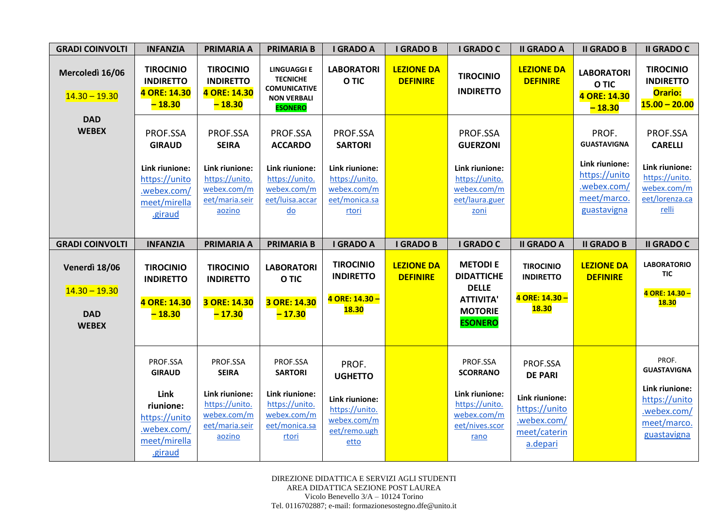| <b>GRADI COINVOLTI</b>                                         | <b>INFANZIA</b>                                                                                        | <b>PRIMARIA A</b>                                                                                       | <b>PRIMARIA B</b>                                                                                                             | <b>I GRADO A</b>                                                                                        | <b>I GRADO B</b>                     | <b>I GRADO C</b>                                                                                            | <b>II GRADO A</b>                                                      | <b>II GRADO B</b>                                                                                           | <b>II GRADO C</b>                                                                                        |
|----------------------------------------------------------------|--------------------------------------------------------------------------------------------------------|---------------------------------------------------------------------------------------------------------|-------------------------------------------------------------------------------------------------------------------------------|---------------------------------------------------------------------------------------------------------|--------------------------------------|-------------------------------------------------------------------------------------------------------------|------------------------------------------------------------------------|-------------------------------------------------------------------------------------------------------------|----------------------------------------------------------------------------------------------------------|
| Mercoledì 16/06<br>$14.30 - 19.30$                             | <b>TIROCINIO</b><br><b>INDIRETTO</b><br>4 ORE: 14.30<br>$-18.30$                                       | <b>TIROCINIO</b><br><b>INDIRETTO</b><br>4 ORE: 14.30<br>$-18.30$                                        | <b>LINGUAGGI E</b><br><b>TECNICHE</b><br><b>COMUNICATIVE</b><br><b>NON VERBALI</b><br><b>ESONERO</b>                          | <b>LABORATORI</b><br>O TIC                                                                              | <b>LEZIONE DA</b><br><b>DEFINIRE</b> | <b>TIROCINIO</b><br><b>INDIRETTO</b>                                                                        | <b>LEZIONE DA</b><br><b>DEFINIRE</b>                                   | <b>LABORATORI</b><br>O TIC<br>4 ORE: 14.30<br>$-18.30$                                                      | <b>TIROCINIO</b><br><b>INDIRETTO</b><br>Orario:<br>$15.00 - 20.00$                                       |
| <b>DAD</b><br><b>WEBEX</b>                                     | PROF.SSA<br><b>GIRAUD</b><br>Link riunione:<br>https://unito<br>.webex.com/<br>meet/mirella<br>.giraud | PROF.SSA<br><b>SEIRA</b><br>Link riunione:<br>https://unito.<br>webex.com/m<br>eet/maria.seir<br>aozino | PROF.SSA<br><b>ACCARDO</b><br>Link riunione:<br>https://unito.<br>webex.com/m<br>eet/luisa.accar<br>$\underline{\mathsf{do}}$ | PROF.SSA<br><b>SARTORI</b><br>Link riunione:<br>https://unito.<br>webex.com/m<br>eet/monica.sa<br>rtori |                                      | PROF.SSA<br><b>GUERZONI</b><br>Link riunione:<br>https://unito.<br>webex.com/m<br>eet/laura.guer<br>zoni    |                                                                        | PROF.<br><b>GUASTAVIGNA</b><br>Link riunione:<br>https://unito<br>.webex.com/<br>meet/marco.<br>guastavigna | PROF.SSA<br><b>CARELLI</b><br>Link riunione:<br>https://unito.<br>webex.com/m<br>eet/lorenza.ca<br>relli |
| <b>GRADI COINVOLTI</b>                                         | <b>INFANZIA</b>                                                                                        | <b>PRIMARIA A</b>                                                                                       | <b>PRIMARIA B</b>                                                                                                             | <b>I GRADO A</b>                                                                                        | <b>I GRADO B</b>                     | <b>I GRADO C</b>                                                                                            | <b>II GRADO A</b>                                                      | <b>II GRADO B</b>                                                                                           | <b>II GRADO C</b>                                                                                        |
|                                                                |                                                                                                        |                                                                                                         |                                                                                                                               |                                                                                                         |                                      |                                                                                                             |                                                                        |                                                                                                             |                                                                                                          |
| Venerdì 18/06<br>$14.30 - 19.30$<br><b>DAD</b><br><b>WEBEX</b> | <b>TIROCINIO</b><br><b>INDIRETTO</b><br>4 ORE: 14.30<br>$-18.30$                                       | <b>TIROCINIO</b><br><b>INDIRETTO</b><br>3 ORE: 14.30<br>$-17.30$                                        | <b>LABORATORI</b><br>O TIC<br>3 ORE: 14.30<br>$-17.30$                                                                        | <b>TIROCINIO</b><br><b>INDIRETTO</b><br>4 ORE: 14.30 -<br><b>18.30</b>                                  | <b>LEZIONE DA</b><br><b>DEFINIRE</b> | <b>METODIE</b><br><b>DIDATTICHE</b><br><b>DELLE</b><br><b>ATTIVITA'</b><br><b>MOTORIE</b><br><b>ESONERO</b> | <b>TIROCINIO</b><br><b>INDIRETTO</b><br>4 ORE: 14.30 -<br><b>18.30</b> | <b>LEZIONE DA</b><br><b>DEFINIRE</b>                                                                        | <b>LABORATORIO</b><br><b>TIC</b><br>4 ORE: 14.30 -<br><b>18.30</b>                                       |